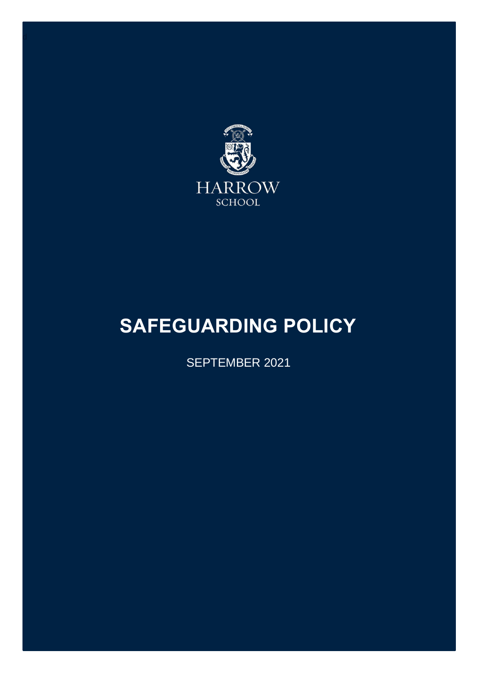

# <span id="page-0-0"></span>**SAFEGUARDING POLICY**

SEPTEMBER 2021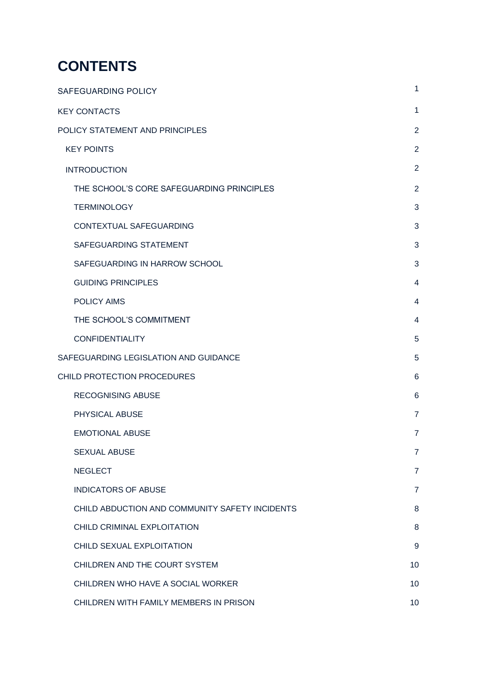## **CONTENTS**

| <b>SAFEGUARDING POLICY</b>                     | 1              |
|------------------------------------------------|----------------|
| <b>KEY CONTACTS</b>                            | 1              |
| POLICY STATEMENT AND PRINCIPLES                | $\overline{2}$ |
| <b>KEY POINTS</b>                              | $\overline{2}$ |
| <b>INTRODUCTION</b>                            | $\overline{2}$ |
| THE SCHOOL'S CORE SAFEGUARDING PRINCIPLES      | $\overline{2}$ |
| <b>TERMINOLOGY</b>                             | 3              |
| CONTEXTUAL SAFEGUARDING                        | 3              |
| SAFEGUARDING STATEMENT                         | 3              |
| SAFEGUARDING IN HARROW SCHOOL                  | 3              |
| <b>GUIDING PRINCIPLES</b>                      | 4              |
| <b>POLICY AIMS</b>                             | 4              |
| THE SCHOOL'S COMMITMENT                        | 4              |
| <b>CONFIDENTIALITY</b>                         | 5              |
| SAFEGUARDING LEGISLATION AND GUIDANCE          | 5              |
| CHILD PROTECTION PROCEDURES                    | 6              |
| <b>RECOGNISING ABUSE</b>                       | 6              |
| PHYSICAL ABUSE                                 | $\overline{7}$ |
| <b>EMOTIONAL ABUSE</b>                         | $\overline{7}$ |
| <b>SEXUAL ABUSE</b>                            | $\overline{7}$ |
| <b>NEGLECT</b>                                 | $\overline{7}$ |
| <b>INDICATORS OF ABUSE</b>                     | $\overline{7}$ |
| CHILD ABDUCTION AND COMMUNITY SAFETY INCIDENTS | 8              |
| CHILD CRIMINAL EXPLOITATION                    | 8              |
| CHILD SEXUAL EXPLOITATION                      | 9              |
| CHILDREN AND THE COURT SYSTEM                  | 10             |
| CHILDREN WHO HAVE A SOCIAL WORKER              | 10             |
| CHILDREN WITH FAMILY MEMBERS IN PRISON         | 10             |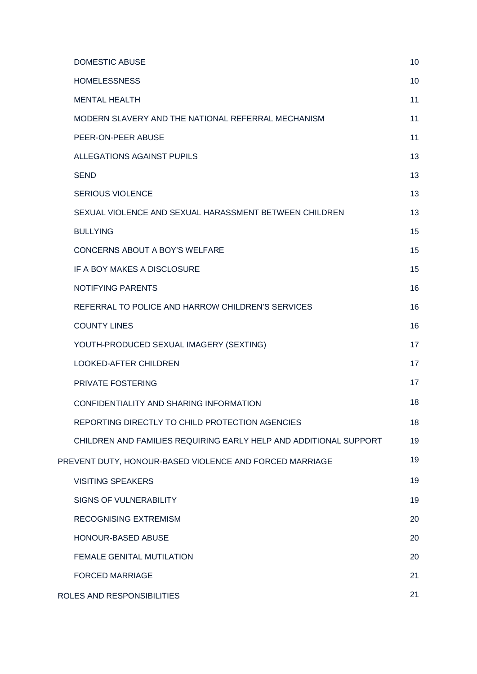| <b>DOMESTIC ABUSE</b>                                             | 10 |
|-------------------------------------------------------------------|----|
| <b>HOMELESSNESS</b>                                               | 10 |
| <b>MENTAL HEALTH</b>                                              | 11 |
| MODERN SLAVERY AND THE NATIONAL REFERRAL MECHANISM                | 11 |
| PEER-ON-PEER ABUSE                                                | 11 |
| <b>ALLEGATIONS AGAINST PUPILS</b>                                 | 13 |
| <b>SEND</b>                                                       | 13 |
| <b>SERIOUS VIOLENCE</b>                                           | 13 |
| SEXUAL VIOLENCE AND SEXUAL HARASSMENT BETWEEN CHILDREN            | 13 |
| <b>BULLYING</b>                                                   | 15 |
| <b>CONCERNS ABOUT A BOY'S WELFARE</b>                             | 15 |
| IF A BOY MAKES A DISCLOSURE                                       | 15 |
| <b>NOTIFYING PARENTS</b>                                          | 16 |
| REFERRAL TO POLICE AND HARROW CHILDREN'S SERVICES                 | 16 |
| <b>COUNTY LINES</b>                                               | 16 |
| YOUTH-PRODUCED SEXUAL IMAGERY (SEXTING)                           | 17 |
| <b>LOOKED-AFTER CHILDREN</b>                                      | 17 |
| PRIVATE FOSTERING                                                 | 17 |
| CONFIDENTIALITY AND SHARING INFORMATION                           | 18 |
| REPORTING DIRECTLY TO CHILD PROTECTION AGENCIES                   | 18 |
| CHILDREN AND FAMILIES REQUIRING EARLY HELP AND ADDITIONAL SUPPORT | 19 |
| PREVENT DUTY, HONOUR-BASED VIOLENCE AND FORCED MARRIAGE           | 19 |
| <b>VISITING SPEAKERS</b>                                          | 19 |
| SIGNS OF VULNERABILITY                                            | 19 |
| RECOGNISING EXTREMISM                                             | 20 |
| <b>HONOUR-BASED ABUSE</b>                                         | 20 |
| FEMALE GENITAL MUTILATION                                         | 20 |
| <b>FORCED MARRIAGE</b>                                            | 21 |
| ROLES AND RESPONSIBILITIES                                        | 21 |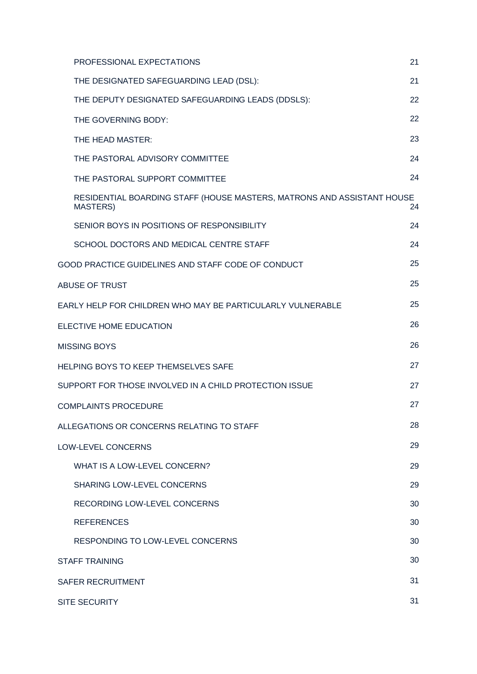| PROFESSIONAL EXPECTATIONS                                                                 | 21 |
|-------------------------------------------------------------------------------------------|----|
| THE DESIGNATED SAFEGUARDING LEAD (DSL):                                                   | 21 |
| THE DEPUTY DESIGNATED SAFEGUARDING LEADS (DDSLS):                                         | 22 |
| THE GOVERNING BODY:                                                                       | 22 |
| THE HEAD MASTER:                                                                          | 23 |
| THE PASTORAL ADVISORY COMMITTEE                                                           | 24 |
| THE PASTORAL SUPPORT COMMITTEE                                                            | 24 |
| RESIDENTIAL BOARDING STAFF (HOUSE MASTERS, MATRONS AND ASSISTANT HOUSE<br><b>MASTERS)</b> | 24 |
| SENIOR BOYS IN POSITIONS OF RESPONSIBILITY                                                | 24 |
| SCHOOL DOCTORS AND MEDICAL CENTRE STAFF                                                   | 24 |
| GOOD PRACTICE GUIDELINES AND STAFF CODE OF CONDUCT                                        | 25 |
| <b>ABUSE OF TRUST</b>                                                                     | 25 |
| EARLY HELP FOR CHILDREN WHO MAY BE PARTICULARLY VULNERABLE                                | 25 |
| ELECTIVE HOME EDUCATION                                                                   | 26 |
| MISSING BOYS                                                                              | 26 |
| <b>HELPING BOYS TO KEEP THEMSELVES SAFE</b>                                               | 27 |
| SUPPORT FOR THOSE INVOLVED IN A CHILD PROTECTION ISSUE                                    | 27 |
| <b>COMPLAINTS PROCEDURE</b>                                                               | 27 |
| ALLEGATIONS OR CONCERNS RELATING TO STAFF                                                 | 28 |
| LOW-LEVEL CONCERNS                                                                        | 29 |
| WHAT IS A LOW-LEVEL CONCERN?                                                              | 29 |
| SHARING LOW-LEVEL CONCERNS                                                                | 29 |
| <b>RECORDING LOW-LEVEL CONCERNS</b>                                                       | 30 |
| <b>REFERENCES</b>                                                                         | 30 |
| RESPONDING TO LOW-LEVEL CONCERNS                                                          | 30 |
| <b>STAFF TRAINING</b>                                                                     | 30 |
| SAFER RECRUITMENT                                                                         | 31 |
| SITE SECURITY                                                                             | 31 |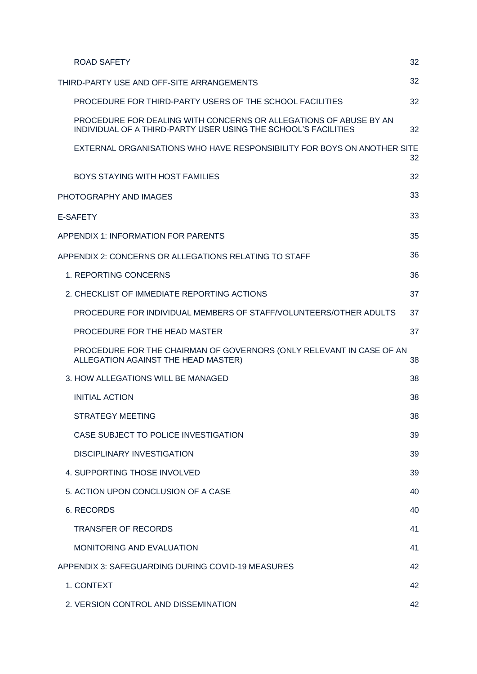| <b>ROAD SAFETY</b>                                                                                                                  | 32 |
|-------------------------------------------------------------------------------------------------------------------------------------|----|
| THIRD-PARTY USE AND OFF-SITE ARRANGEMENTS                                                                                           | 32 |
| PROCEDURE FOR THIRD-PARTY USERS OF THE SCHOOL FACILITIES                                                                            | 32 |
| PROCEDURE FOR DEALING WITH CONCERNS OR ALLEGATIONS OF ABUSE BY AN<br>INDIVIDUAL OF A THIRD-PARTY USER USING THE SCHOOL'S FACILITIES | 32 |
| EXTERNAL ORGANISATIONS WHO HAVE RESPONSIBILITY FOR BOYS ON ANOTHER SITE                                                             | 32 |
| <b>BOYS STAYING WITH HOST FAMILIES</b>                                                                                              | 32 |
| PHOTOGRAPHY AND IMAGES                                                                                                              | 33 |
| <b>E-SAFETY</b>                                                                                                                     | 33 |
| APPENDIX 1: INFORMATION FOR PARENTS                                                                                                 | 35 |
| APPENDIX 2: CONCERNS OR ALLEGATIONS RELATING TO STAFF                                                                               | 36 |
| 1. REPORTING CONCERNS                                                                                                               | 36 |
| 2. CHECKLIST OF IMMEDIATE REPORTING ACTIONS                                                                                         | 37 |
| PROCEDURE FOR INDIVIDUAL MEMBERS OF STAFF/VOLUNTEERS/OTHER ADULTS                                                                   | 37 |
| PROCEDURE FOR THE HEAD MASTER                                                                                                       | 37 |
| PROCEDURE FOR THE CHAIRMAN OF GOVERNORS (ONLY RELEVANT IN CASE OF AN<br>ALLEGATION AGAINST THE HEAD MASTER)                         | 38 |
| 3. HOW ALLEGATIONS WILL BE MANAGED                                                                                                  | 38 |
| <b>INITIAL ACTION</b>                                                                                                               | 38 |
| STRATEGY MEETING                                                                                                                    | 38 |
| CASE SUBJECT TO POLICE INVESTIGATION                                                                                                | 39 |
| <b>DISCIPLINARY INVESTIGATION</b>                                                                                                   | 39 |
| 4. SUPPORTING THOSE INVOLVED                                                                                                        | 39 |
| 5. ACTION UPON CONCLUSION OF A CASE                                                                                                 | 40 |
| 6. RECORDS                                                                                                                          | 40 |
| <b>TRANSFER OF RECORDS</b>                                                                                                          | 41 |
| <b>MONITORING AND EVALUATION</b>                                                                                                    | 41 |
| APPENDIX 3: SAFEGUARDING DURING COVID-19 MEASURES                                                                                   | 42 |
| 1. CONTEXT                                                                                                                          | 42 |
| 2. VERSION CONTROL AND DISSEMINATION                                                                                                | 42 |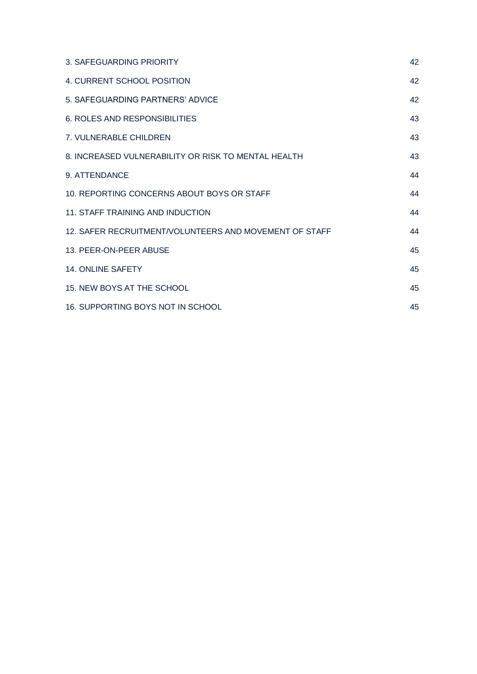| 3. SAFEGUARDING PRIORITY                               | 42 |
|--------------------------------------------------------|----|
| 4. CURRENT SCHOOL POSITION                             | 42 |
| 5. SAFEGUARDING PARTNERS' ADVICE                       | 42 |
| 6. ROLES AND RESPONSIBILITIES                          | 43 |
| 7. VULNERABLE CHILDREN                                 | 43 |
| 8. INCREASED VULNERABILITY OR RISK TO MENTAL HEALTH    | 43 |
| 9. ATTENDANCE                                          | 44 |
| 10. REPORTING CONCERNS ABOUT BOYS OR STAFF             | 44 |
| 11. STAFF TRAINING AND INDUCTION                       | 44 |
| 12. SAFER RECRUITMENT/VOLUNTEERS AND MOVEMENT OF STAFF | 44 |
| 13. PEER-ON-PEER ABUSE                                 | 45 |
| <b>14. ONLINE SAFETY</b>                               | 45 |
| 15. NEW BOYS AT THE SCHOOL                             | 45 |
| 16. SUPPORTING BOYS NOT IN SCHOOL                      | 45 |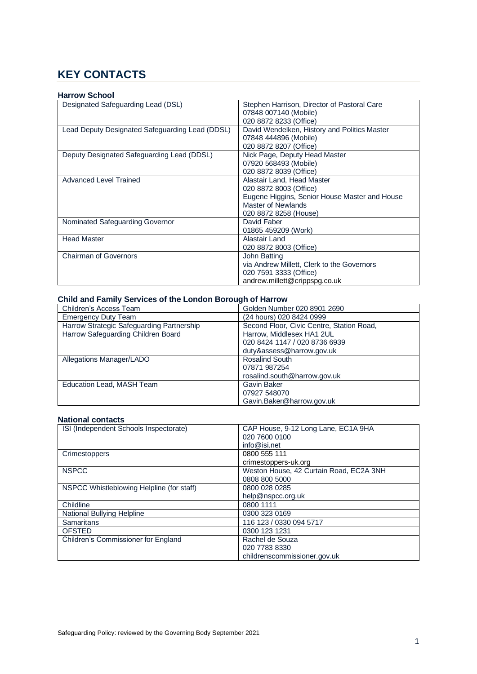### <span id="page-6-0"></span>**KEY CONTACTS**

### **Harrow School**

| Designated Safeguarding Lead (DSL)              | Stephen Harrison, Director of Pastoral Care   |
|-------------------------------------------------|-----------------------------------------------|
|                                                 | 07848 007140 (Mobile)                         |
|                                                 | 020 8872 8233 (Office)                        |
| Lead Deputy Designated Safeguarding Lead (DDSL) | David Wendelken, History and Politics Master  |
|                                                 | 07848 444896 (Mobile)                         |
|                                                 | 020 8872 8207 (Office)                        |
| Deputy Designated Safeguarding Lead (DDSL)      | Nick Page, Deputy Head Master                 |
|                                                 | 07920 568493 (Mobile)                         |
|                                                 | 020 8872 8039 (Office)                        |
| Advanced Level Trained                          | Alastair Land, Head Master                    |
|                                                 | 020 8872 8003 (Office)                        |
|                                                 | Eugene Higgins, Senior House Master and House |
|                                                 | Master of Newlands                            |
|                                                 | 020 8872 8258 (House)                         |
| Nominated Safeguarding Governor                 | David Faber                                   |
|                                                 | 01865 459209 (Work)                           |
| <b>Head Master</b>                              | Alastair Land                                 |
|                                                 | 020 8872 8003 (Office)                        |
| <b>Chairman of Governors</b>                    | John Batting                                  |
|                                                 | via Andrew Millett, Clerk to the Governors    |
|                                                 | 020 7591 3333 (Office)                        |
|                                                 | andrew.millett@crippspg.co.uk                 |

### **Child and Family Services of the London Borough of Harrow**

| Children's Access Team                    | Golden Number 020 8901 2690               |
|-------------------------------------------|-------------------------------------------|
| <b>Emergency Duty Team</b>                | (24 hours) 020 8424 0999                  |
| Harrow Strategic Safeguarding Partnership | Second Floor, Civic Centre, Station Road, |
| Harrow Safeguarding Children Board        | Harrow, Middlesex HA1 2UL                 |
|                                           | 020 8424 1147 / 020 8736 6939             |
|                                           | duty&assess@harrow.gov.uk                 |
| Allegations Manager/LADO                  | Rosalind South                            |
|                                           | 07871 987254                              |
|                                           | rosalind.south@harrow.gov.uk              |
| Education Lead, MASH Team                 | Gavin Baker                               |
|                                           | 07927 548070                              |
|                                           | Gavin.Baker@harrow.gov.uk                 |

### **National contacts**

| ISI (Independent Schools Inspectorate)    | CAP House, 9-12 Long Lane, EC1A 9HA     |
|-------------------------------------------|-----------------------------------------|
|                                           | 020 7600 0100                           |
|                                           | info@isi.net                            |
| Crimestoppers                             | 0800 555 111                            |
|                                           | crimestoppers-uk.org                    |
| <b>NSPCC</b>                              | Weston House, 42 Curtain Road, EC2A 3NH |
|                                           | 0808 800 5000                           |
| NSPCC Whistleblowing Helpline (for staff) | 0800 028 0285                           |
|                                           | help@nspcc.org.uk                       |
| Childline                                 | 0800 1111                               |
| National Bullying Helpline                | 0300 323 0169                           |
| <b>Samaritans</b>                         | 116 123 / 0330 094 5717                 |
| <b>OFSTED</b>                             | 0300 123 1231                           |
| Children's Commissioner for England       | Rachel de Souza                         |
|                                           | 020 7783 8330                           |
|                                           | childrenscommissioner.gov.uk            |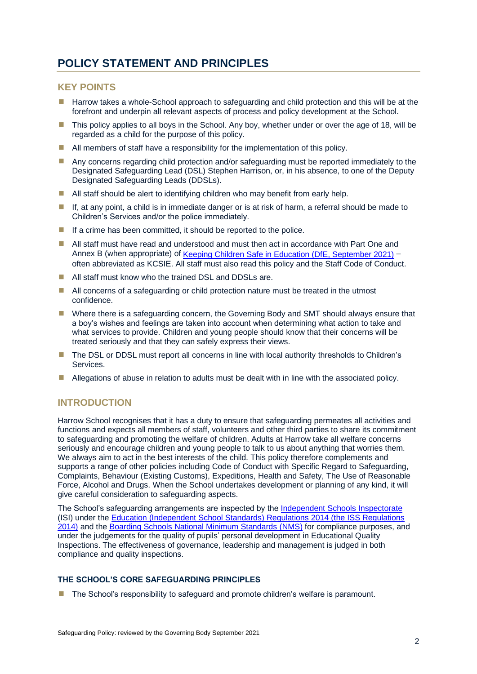### <span id="page-7-0"></span>**POLICY STATEMENT AND PRINCIPLES**

### <span id="page-7-1"></span>**KEY POINTS**

- **E** Harrow takes a whole-School approach to safeguarding and child protection and this will be at the forefront and underpin all relevant aspects of process and policy development at the School.
- $\blacksquare$  This policy applies to all boys in the School. Any boy, whether under or over the age of 18, will be regarded as a child for the purpose of this policy.
- **E** All members of staff have a responsibility for the implementation of this policy.
- **I** Any concerns regarding child protection and/or safeguarding must be reported immediately to the Designated Safeguarding Lead (DSL) Stephen Harrison, or, in his absence, to one of the Deputy Designated Safeguarding Leads (DDSLs).
- $\blacksquare$  All staff should be alert to identifying children who may benefit from early help.
- $\blacksquare$  If, at any point, a child is in immediate danger or is at risk of harm, a referral should be made to Children's Services and/or the police immediately.
- $\blacksquare$  If a crime has been committed, it should be reported to the police.
- All staff must have read and understood and must then act in accordance with Part One and Annex B (when appropriate) of [Keeping Children Safe in Education \(DfE, September 2021\)](https://assets.publishing.service.gov.uk/government/uploads/system/uploads/attachment_data/file/1007260/Keeping_children_safe_in_education_2021.pdf) often abbreviated as KCSIE. All staff must also read this policy and the Staff Code of Conduct.
- All staff must know who the trained DSL and DDSLs are.
- All concerns of a safeguarding or child protection nature must be treated in the utmost confidence.
- Where there is a safeguarding concern, the Governing Body and SMT should always ensure that a boy's wishes and feelings are taken into account when determining what action to take and what services to provide. Children and young people should know that their concerns will be treated seriously and that they can safely express their views.
- The DSL or DDSL must report all concerns in line with local authority thresholds to Children's Services.
- Allegations of abuse in relation to adults must be dealt with in line with the associated policy.

### <span id="page-7-2"></span>**INTRODUCTION**

Harrow School recognises that it has a duty to ensure that safeguarding permeates all activities and functions and expects all members of staff, volunteers and other third parties to share its commitment to safeguarding and promoting the welfare of children. Adults at Harrow take all welfare concerns seriously and encourage children and young people to talk to us about anything that worries them. We always aim to act in the best interests of the child. This policy therefore complements and supports a range of other policies including Code of Conduct with Specific Regard to Safeguarding, Complaints, Behaviour (Existing Customs), Expeditions, Health and Safety, The Use of Reasonable Force, Alcohol and Drugs. When the School undertakes development or planning of any kind, it will give careful consideration to safeguarding aspects.

The School's safeguarding arrangements are inspected by the [Independent Schools Inspectorate](https://www.isi.net/) (ISI) under th[e Education \(Independent School Standards\) Regulations 2014 \(the ISS Regulations](http://www.legislation.gov.uk/uksi/2014/3283/schedule/made)  [2014\)](http://www.legislation.gov.uk/uksi/2014/3283/schedule/made) and the [Boarding Schools National Minimum Standards \(NMS\)](https://assets.publishing.service.gov.uk/government/uploads/system/uploads/attachment_data/file/416186/20150319_nms_bs_standards.pdf) for compliance purposes, and under the judgements for the quality of pupils' personal development in Educational Quality Inspections. The effectiveness of governance, leadership and management is judged in both compliance and quality inspections.

### <span id="page-7-3"></span>**THE SCHOOL'S CORE SAFEGUARDING PRINCIPLES**

**The School's responsibility to safeguard and promote children's welfare is paramount.**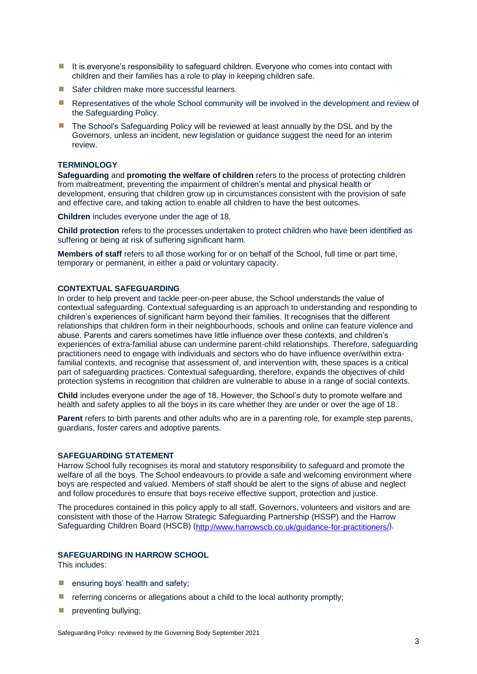- It is everyone's responsibility to safeguard children. Everyone who comes into contact with children and their families has a role to play in keeping children safe.
- Safer children make more successful learners.
- **E** Representatives of the whole School community will be involved in the development and review of the Safeguarding Policy.
- The School's Safeguarding Policy will be reviewed at least annually by the DSL and by the Governors, unless an incident, new legislation or guidance suggest the need for an interim review.

### <span id="page-8-0"></span>**TERMINOLOGY**

**Safeguarding** and **promoting the welfare of children** refers to the process of protecting children from maltreatment, preventing the impairment of children's mental and physical health or development, ensuring that children grow up in circumstances consistent with the provision of safe and effective care, and taking action to enable all children to have the best outcomes.

**Children** includes everyone under the age of 18.

**Child protection** refers to the processes undertaken to protect children who have been identified as suffering or being at risk of suffering significant harm.

**Members of staff** refers to all those working for or on behalf of the School, full time or part time, temporary or permanent, in either a paid or voluntary capacity.

### <span id="page-8-1"></span>**CONTEXTUAL SAFEGUARDING**

In order to help prevent and tackle peer-on-peer abuse, the School understands the value of contextual safeguarding. Contextual safeguarding is an approach to understanding and responding to children's experiences of significant harm beyond their families. It recognises that the different relationships that children form in their neighbourhoods, schools and online can feature violence and abuse. Parents and carers sometimes have little influence over these contexts, and children's experiences of extra-familial abuse can undermine parent-child relationships. Therefore, safeguarding practitioners need to engage with individuals and sectors who do have influence over/within extrafamilial contexts, and recognise that assessment of, and intervention with, these spaces is a critical part of safeguarding practices. Contextual safeguarding, therefore, expands the objectives of child protection systems in recognition that children are vulnerable to abuse in a range of social contexts.

**Child** includes everyone under the age of 18. However, the School's duty to promote welfare and health and safety applies to all the boys in its care whether they are under or over the age of 18.

**Parent** refers to birth parents and other adults who are in a parenting role, for example step parents, guardians, foster carers and adoptive parents.

### <span id="page-8-2"></span>**SAFEGUARDING STATEMENT**

Harrow School fully recognises its moral and statutory responsibility to safeguard and promote the welfare of all the boys. The School endeavours to provide a safe and welcoming environment where boys are respected and valued. Members of staff should be alert to the signs of abuse and neglect and follow procedures to ensure that boys receive effective support, protection and justice.

The procedures contained in this policy apply to all staff, Governors, volunteers and visitors and are consistent with those of the Harrow Strategic Safeguarding Partnership (HSSP) and the Harrow Safeguarding Children Board (HSCB) [\(http://www.harrowscb.co.uk/guidance-for-practitioners/\)](http://www.harrowscb.co.uk/guidance-for-practitioners/).

### <span id="page-8-3"></span>**SAFEGUARDING IN HARROW SCHOOL**

This includes:

- $\blacksquare$  ensuring boys' health and safety;
- $\blacksquare$  referring concerns or allegations about a child to the local authority promptly;
- $\blacksquare$  preventing bullying;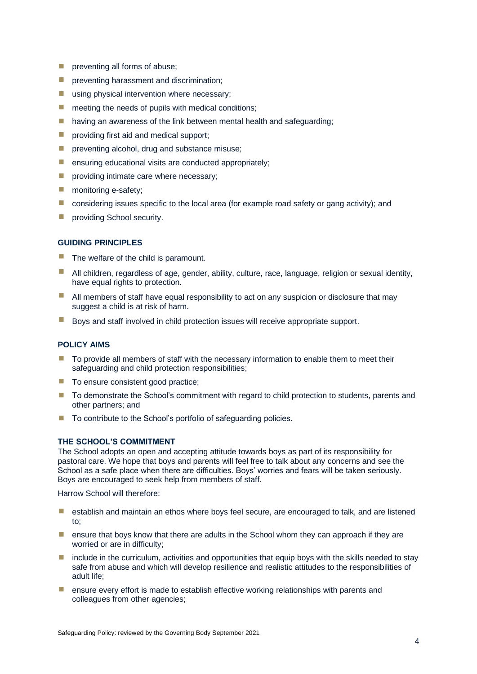- $\blacksquare$  preventing all forms of abuse;
- **P** preventing harassment and discrimination;
- **E** using physical intervention where necessary:
- $\blacksquare$  meeting the needs of pupils with medical conditions:
- $\blacksquare$  having an awareness of the link between mental health and safeguarding;
- **E** providing first aid and medical support;
- **P** preventing alcohol, drug and substance misuse;
- **E** ensuring educational visits are conducted appropriately;
- $\blacksquare$  providing intimate care where necessary:
- $\blacksquare$  monitoring e-safety;
- $\blacksquare$  considering issues specific to the local area (for example road safety or gang activity); and
- **E** providing School security.

### <span id="page-9-0"></span>**GUIDING PRINCIPLES**

- $\blacksquare$  The welfare of the child is paramount.
- All children, regardless of age, gender, ability, culture, race, language, religion or sexual identity, have equal rights to protection.
- $\blacksquare$  All members of staff have equal responsibility to act on any suspicion or disclosure that may suggest a child is at risk of harm.
- Boys and staff involved in child protection issues will receive appropriate support.

### <span id="page-9-1"></span>**POLICY AIMS**

- $\blacksquare$  To provide all members of staff with the necessary information to enable them to meet their safeguarding and child protection responsibilities;
- To ensure consistent good practice;
- To demonstrate the School's commitment with regard to child protection to students, parents and other partners; and
- To contribute to the School's portfolio of safeguarding policies.

### <span id="page-9-2"></span>**THE SCHOOL'S COMMITMENT**

The School adopts an open and accepting attitude towards boys as part of its responsibility for pastoral care. We hope that boys and parents will feel free to talk about any concerns and see the School as a safe place when there are difficulties. Boys' worries and fears will be taken seriously. Boys are encouraged to seek help from members of staff.

Harrow School will therefore:

- **E** establish and maintain an ethos where boys feel secure, are encouraged to talk, and are listened to;
- $\blacksquare$  ensure that boys know that there are adults in the School whom they can approach if they are worried or are in difficulty;
- include in the curriculum, activities and opportunities that equip boys with the skills needed to stay safe from abuse and which will develop resilience and realistic attitudes to the responsibilities of adult life;
- ensure every effort is made to establish effective working relationships with parents and colleagues from other agencies;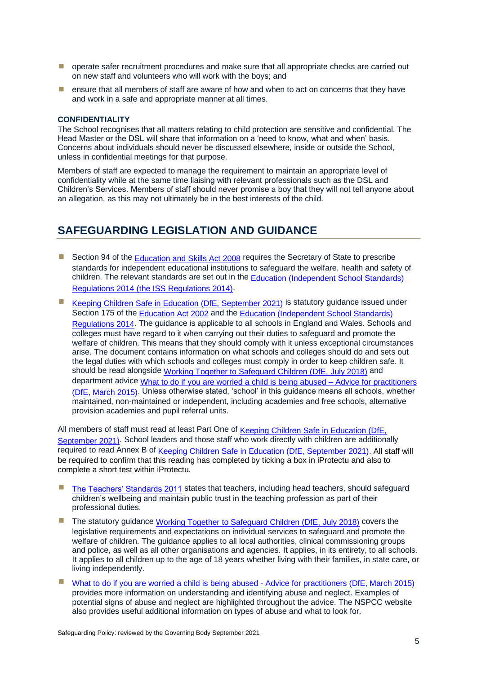- **D** operate safer recruitment procedures and make sure that all appropriate checks are carried out on new staff and volunteers who will work with the boys; and
- $\blacksquare$  ensure that all members of staff are aware of how and when to act on concerns that they have and work in a safe and appropriate manner at all times.

### <span id="page-10-0"></span>**CONFIDENTIALITY**

The School recognises that all matters relating to child protection are sensitive and confidential. The Head Master or the DSL will share that information on a 'need to know, what and when' basis. Concerns about individuals should never be discussed elsewhere, inside or outside the School, unless in confidential meetings for that purpose.

Members of staff are expected to manage the requirement to maintain an appropriate level of confidentiality while at the same time liaising with relevant professionals such as the DSL and Children's Services. Members of staff should never promise a boy that they will not tell anyone about an allegation, as this may not ultimately be in the best interests of the child.

### <span id="page-10-1"></span>**SAFEGUARDING LEGISLATION AND GUIDANCE**

- Section 94 of the [Education and Skills Act 2008](https://www.legislation.gov.uk/ukpga/2008/25/contents) requires the Secretary of State to prescribe standards for independent educational institutions to safeguard the welfare, health and safety of children. The relevant standards are set out in the [Education \(Independent School Standards\)](http://www.legislation.gov.uk/uksi/2014/3283/schedule/made)  [Regulations 2014 \(the ISS Regulations 2014\).](http://www.legislation.gov.uk/uksi/2014/3283/schedule/made)
- [Keeping Children Safe in Education \(DfE, September 2021\)](https://assets.publishing.service.gov.uk/government/uploads/system/uploads/attachment_data/file/1007260/Keeping_children_safe_in_education_2021.pdf) is statutory guidance issued under Section 175 of the [Education Act 2002](https://www.legislation.gov.uk/ukpga/2002/32/contents) and the [Education \(Independent School Standards\)](http://www.legislation.gov.uk/uksi/2014/3283/schedule/made)  [Regulations 2014.](http://www.legislation.gov.uk/uksi/2014/3283/schedule/made) The guidance is applicable to all schools in England and Wales. Schools and colleges must have regard to it when carrying out their duties to safeguard and promote the welfare of children. This means that they should comply with it unless exceptional circumstances arise. The document contains information on what schools and colleges should do and sets out the legal duties with which schools and colleges must comply in order to keep children safe. It should be read alongside [Working Together to Safeguard Children \(DfE, July](https://assets.publishing.service.gov.uk/government/uploads/system/uploads/attachment_data/file/729914/Working_Together_to_Safeguard_Children-2018.pdf) 2018) and department advice [What to do if you are worried a child is being abused –](https://assets.publishing.service.gov.uk/government/uploads/system/uploads/attachment_data/file/419604/What_to_do_if_you_re_worried_a_child_is_being_abused.pdf) Advice for practitioners [\(DfE, March 2015\).](https://assets.publishing.service.gov.uk/government/uploads/system/uploads/attachment_data/file/419604/What_to_do_if_you_re_worried_a_child_is_being_abused.pdf) Unless otherwise stated, 'school' in this guidance means all schools, whether maintained, non-maintained or independent, including academies and free schools, alternative provision academies and pupil referral units.

All members of staff must read at least Part One of Keeping Children Safe in Education (DfE, [September 2021\).](https://assets.publishing.service.gov.uk/government/uploads/system/uploads/attachment_data/file/1007260/Keeping_children_safe_in_education_2021.pdf) School leaders and those staff who work directly with children are additionally required to read Annex B of [Keeping Children Safe in Education \(DfE, September 2021\).](https://assets.publishing.service.gov.uk/government/uploads/system/uploads/attachment_data/file/1007260/Keeping_children_safe_in_education_2021.pdf) All staff will be required to confirm that this reading has completed by ticking a box in iProtectu and also to complete a short test within iProtectu.

- [The Teachers' Standards 2011](https://assets.publishing.service.gov.uk/government/uploads/system/uploads/attachment_data/file/1007716/Teachers__Standards_2021_update.pdf) states that teachers, including head teachers, should safeguard children's wellbeing and maintain public trust in the teaching profession as part of their professional duties.
- The statutory guidance [Working Together to Safeguard Children \(DfE, July](https://assets.publishing.service.gov.uk/government/uploads/system/uploads/attachment_data/file/729914/Working_Together_to_Safeguard_Children-2018.pdf) 2018) covers the legislative requirements and expectations on individual services to safeguard and promote the welfare of children. The guidance applies to all local authorities, clinical commissioning groups and police, as well as all other organisations and agencies. It applies, in its entirety, to all schools. It applies to all children up to the age of 18 years whether living with their families, in state care, or living independently.
- [What to do if you are worried a child is being abused -](https://assets.publishing.service.gov.uk/government/uploads/system/uploads/attachment_data/file/419604/What_to_do_if_you_re_worried_a_child_is_being_abused.pdf) Advice for practitioners (DfE, March 2015) provides more information on understanding and identifying abuse and neglect. Examples of potential signs of abuse and neglect are highlighted throughout the advice. The NSPCC website also provides useful additional information on types of abuse and what to look for.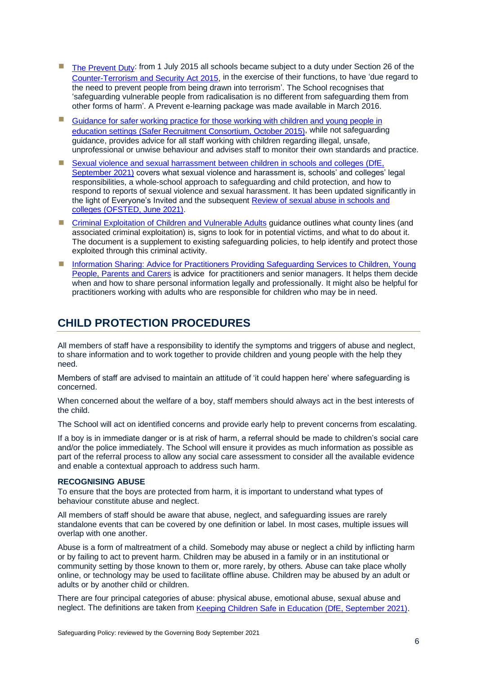- **If** [The Prevent Duty:](https://assets.publishing.service.gov.uk/government/uploads/system/uploads/attachment_data/file/439598/prevent-duty-departmental-advice-v6.pdf) from 1 July 2015 all schools became subject to a duty under Section 26 of the [Counter-Terrorism and Security Act 2015,](https://www.legislation.gov.uk/ukdsi/2015/9780111133309/pdfs/ukdsiod_9780111133309_en.pdf) in the exercise of their functions, to have 'due regard to the need to prevent people from being drawn into terrorism'. The School recognises that 'safeguarding vulnerable people from radicalisation is no different from safeguarding them from other forms of harm'. A Prevent e-learning package was made available in March 2016.
- Guidance for safer working practice for those working with children and young people in [education settings \(Safer Recruitment Consortium, October 2015\),](https://www.safeguardinginschools.co.uk/wp-content/uploads/2015/10/Guidance-for-Safer-Working-Practices-2015-final1.pdf) while not safeguarding guidance, provides advice for all staff working with children regarding illegal, unsafe, unprofessional or unwise behaviour and advises staff to monitor their own standards and practice.
- Sexual violence and sexual harrassment between children in schools and colleges (DfE, [September 2021\)](https://assets.publishing.service.gov.uk/government/uploads/system/uploads/attachment_data/file/999239/SVSH_2021.pdf) covers what sexual violence and harassment is, schools' and colleges' legal responsibilities, a whole-school approach to safeguarding and child protection, and how to respond to reports of sexual violence and sexual harassment. It has been updated significantly in the light of Everyone's Invited and the subsequent [Review of sexual abuse in schools and](https://www.gov.uk/government/publications/review-of-sexual-abuse-in-schools-and-colleges/review-of-sexual-abuse-in-schools-and-colleges)  colleges [\(OFSTED, June 2021\).](https://www.gov.uk/government/publications/review-of-sexual-abuse-in-schools-and-colleges/review-of-sexual-abuse-in-schools-and-colleges)
- [Criminal Exploitation of Children and Vulnerable Adults](https://www.gov.uk/government/publications/criminal-exploitation-of-children-and-vulnerable-adults-county-lines) guidance outlines what county lines (and associated criminal exploitation) is, signs to look for in potential victims, and what to do about it. The document is a supplement to existing safeguarding policies, to help identify and protect those exploited through this criminal activity.
- **E** Information Sharing: Advice for Practitioners Providing Safeguarding Services to Children, Young [People, Parents and Carers](https://assets.publishing.service.gov.uk/government/uploads/system/uploads/attachment_data/file/721581/Information_sharing_advice_practitioners_safeguarding_services.pdf) is advice for practitioners and senior managers. It helps them decide when and how to share personal information legally and professionally. It might also be helpful for practitioners working with adults who are responsible for children who may be in need.

### <span id="page-11-0"></span>**CHILD PROTECTION PROCEDURES**

All members of staff have a responsibility to identify the symptoms and triggers of abuse and neglect, to share information and to work together to provide children and young people with the help they need.

Members of staff are advised to maintain an attitude of 'it could happen here' where safeguarding is concerned.

When concerned about the welfare of a boy, staff members should always act in the best interests of the child.

The School will act on identified concerns and provide early help to prevent concerns from escalating.

If a boy is in immediate danger or is at risk of harm, a referral should be made to children's social care and/or the police immediately. The School will ensure it provides as much information as possible as part of the referral process to allow any social care assessment to consider all the available evidence and enable a contextual approach to address such harm.

### <span id="page-11-1"></span>**RECOGNISING ABUSE**

To ensure that the boys are protected from harm, it is important to understand what types of behaviour constitute abuse and neglect.

All members of staff should be aware that abuse, neglect, and safeguarding issues are rarely standalone events that can be covered by one definition or label. In most cases, multiple issues will overlap with one another.

Abuse is a form of maltreatment of a child. Somebody may abuse or neglect a child by inflicting harm or by failing to act to prevent harm. Children may be abused in a family or in an institutional or community setting by those known to them or, more rarely, by others. Abuse can take place wholly online, or technology may be used to facilitate offline abuse. Children may be abused by an adult or adults or by another child or children.

There are four principal categories of abuse: physical abuse, emotional abuse, sexual abuse and neglect. The definitions are taken from [Keeping Children Safe in Education \(DfE, September 2021\).](https://assets.publishing.service.gov.uk/government/uploads/system/uploads/attachment_data/file/1007260/Keeping_children_safe_in_education_2021.pdf)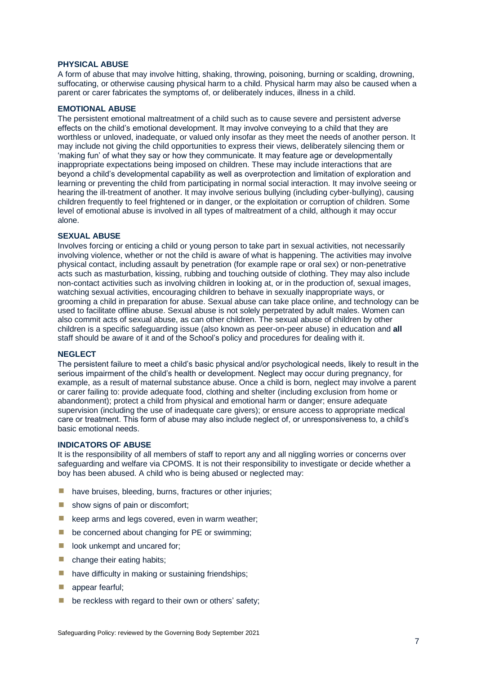### <span id="page-12-0"></span>**PHYSICAL ABUSE**

A form of abuse that may involve hitting, shaking, throwing, poisoning, burning or scalding, drowning, suffocating, or otherwise causing physical harm to a child. Physical harm may also be caused when a parent or carer fabricates the symptoms of, or deliberately induces, illness in a child.

### <span id="page-12-1"></span>**EMOTIONAL ABUSE**

The persistent emotional maltreatment of a child such as to cause severe and persistent adverse effects on the child's emotional development. It may involve conveying to a child that they are worthless or unloved, inadequate, or valued only insofar as they meet the needs of another person. It may include not giving the child opportunities to express their views, deliberately silencing them or 'making fun' of what they say or how they communicate. It may feature age or developmentally inappropriate expectations being imposed on children. These may include interactions that are beyond a child's developmental capability as well as overprotection and limitation of exploration and learning or preventing the child from participating in normal social interaction. It may involve seeing or hearing the ill-treatment of another. It may involve serious bullying (including cyber-bullying), causing children frequently to feel frightened or in danger, or the exploitation or corruption of children. Some level of emotional abuse is involved in all types of maltreatment of a child, although it may occur alone.

### <span id="page-12-2"></span>**SEXUAL ABUSE**

Involves forcing or enticing a child or young person to take part in sexual activities, not necessarily involving violence, whether or not the child is aware of what is happening. The activities may involve physical contact, including assault by penetration (for example rape or oral sex) or non-penetrative acts such as masturbation, kissing, rubbing and touching outside of clothing. They may also include non-contact activities such as involving children in looking at, or in the production of, sexual images, watching sexual activities, encouraging children to behave in sexually inappropriate ways, or grooming a child in preparation for abuse. Sexual abuse can take place online, and technology can be used to facilitate offline abuse. Sexual abuse is not solely perpetrated by adult males. Women can also commit acts of sexual abuse, as can other children. The sexual abuse of children by other children is a specific safeguarding issue (also known as peer-on-peer abuse) in education and **all** staff should be aware of it and of the School's policy and procedures for dealing with it.

### <span id="page-12-3"></span>**NEGLECT**

The persistent failure to meet a child's basic physical and/or psychological needs, likely to result in the serious impairment of the child's health or development. Neglect may occur during pregnancy, for example, as a result of maternal substance abuse. Once a child is born, neglect may involve a parent or carer failing to: provide adequate food, clothing and shelter (including exclusion from home or abandonment); protect a child from physical and emotional harm or danger; ensure adequate supervision (including the use of inadequate care givers); or ensure access to appropriate medical care or treatment. This form of abuse may also include neglect of, or unresponsiveness to, a child's basic emotional needs.

### <span id="page-12-4"></span>**INDICATORS OF ABUSE**

It is the responsibility of all members of staff to report any and all niggling worries or concerns over safeguarding and welfare via CPOMS. It is not their responsibility to investigate or decide whether a boy has been abused. A child who is being abused or neglected may:

- have bruises, bleeding, burns, fractures or other injuries;
- **E** show signs of pain or discomfort;
- $\blacksquare$  keep arms and legs covered, even in warm weather;
- be concerned about changing for PE or swimming;
- look unkempt and uncared for;
- $\blacksquare$  change their eating habits;
- have difficulty in making or sustaining friendships;
- appear fearful:
- $\blacksquare$  be reckless with regard to their own or others' safety;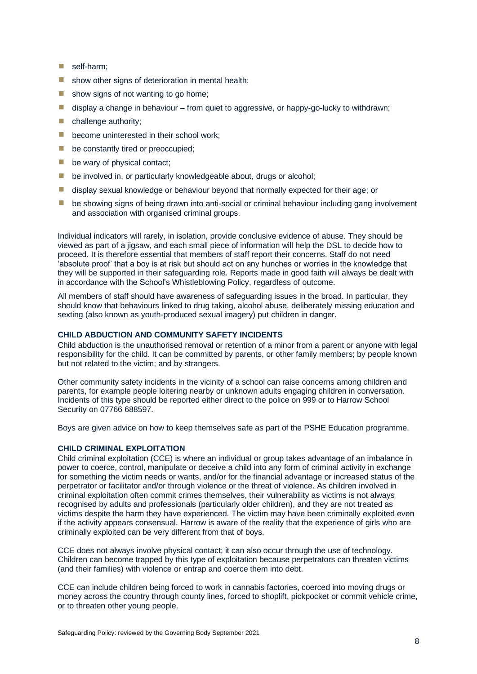- $\blacksquare$  self-harm:
- $\blacksquare$  show other signs of deterioration in mental health;
- $\blacksquare$  show signs of not wanting to go home:
- $\blacksquare$  display a change in behaviour from quiet to aggressive, or happy-go-lucky to withdrawn;
- $\blacksquare$  challenge authority:
- **E** become uninterested in their school work;
- **E** be constantly tired or preoccupied;
- $\blacksquare$  be wary of physical contact;
- $\blacksquare$  be involved in, or particularly knowledgeable about, drugs or alcohol:
- **E** display sexual knowledge or behaviour beyond that normally expected for their age; or
- **E** be showing signs of being drawn into anti-social or criminal behaviour including gang involvement and association with organised criminal groups.

Individual indicators will rarely, in isolation, provide conclusive evidence of abuse. They should be viewed as part of a jigsaw, and each small piece of information will help the DSL to decide how to proceed. It is therefore essential that members of staff report their concerns. Staff do not need 'absolute proof' that a boy is at risk but should act on any hunches or worries in the knowledge that they will be supported in their safeguarding role. Reports made in good faith will always be dealt with in accordance with the School's Whistleblowing Policy, regardless of outcome.

All members of staff should have awareness of safeguarding issues in the broad. In particular, they should know that behaviours linked to drug taking, alcohol abuse, deliberately missing education and sexting (also known as youth-produced sexual imagery) put children in danger.

### <span id="page-13-0"></span>**CHILD ABDUCTION AND COMMUNITY SAFETY INCIDENTS**

Child abduction is the unauthorised removal or retention of a minor from a parent or anyone with legal responsibility for the child. It can be committed by parents, or other family members; by people known but not related to the victim; and by strangers.

Other community safety incidents in the vicinity of a school can raise concerns among children and parents, for example people loitering nearby or unknown adults engaging children in conversation. Incidents of this type should be reported either direct to the police on 999 or to Harrow School Security on 07766 688597.

Boys are given advice on how to keep themselves safe as part of the PSHE Education programme.

### <span id="page-13-1"></span>**CHILD CRIMINAL EXPLOITATION**

Child criminal exploitation (CCE) is where an individual or group takes advantage of an imbalance in power to coerce, control, manipulate or deceive a child into any form of criminal activity in exchange for something the victim needs or wants, and/or for the financial advantage or increased status of the perpetrator or facilitator and/or through violence or the threat of violence. As children involved in criminal exploitation often commit crimes themselves, their vulnerability as victims is not always recognised by adults and professionals (particularly older children), and they are not treated as victims despite the harm they have experienced. The victim may have been criminally exploited even if the activity appears consensual. Harrow is aware of the reality that the experience of girls who are criminally exploited can be very different from that of boys.

CCE does not always involve physical contact; it can also occur through the use of technology. Children can become trapped by this type of exploitation because perpetrators can threaten victims (and their families) with violence or entrap and coerce them into debt.

CCE can include children being forced to work in cannabis factories, coerced into moving drugs or money across the country through county lines, forced to shoplift, pickpocket or commit vehicle crime, or to threaten other young people.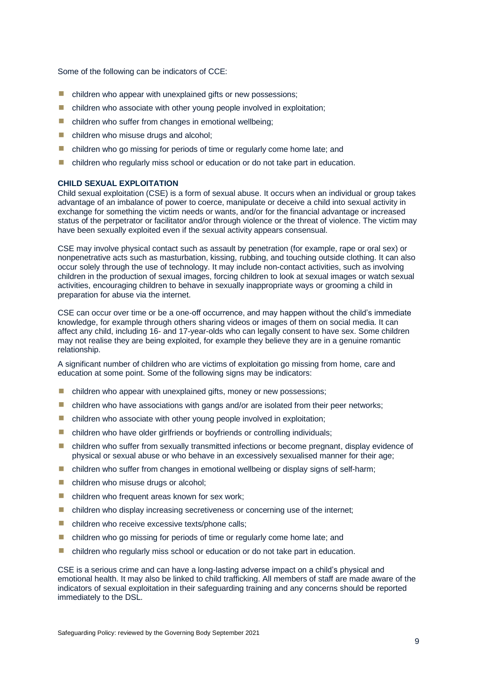Some of the following can be indicators of CCE:

- $\blacksquare$  children who appear with unexplained gifts or new possessions;
- $\blacksquare$  children who associate with other young people involved in exploitation;
- $\blacksquare$  children who suffer from changes in emotional wellbeing;
- children who misuse drugs and alcohol;
- **E** children who go missing for periods of time or regularly come home late; and
- $\blacksquare$  children who regularly miss school or education or do not take part in education.

### <span id="page-14-0"></span>**CHILD SEXUAL EXPLOITATION**

Child sexual exploitation (CSE) is a form of sexual abuse. It occurs when an individual or group takes advantage of an imbalance of power to coerce, manipulate or deceive a child into sexual activity in exchange for something the victim needs or wants, and/or for the financial advantage or increased status of the perpetrator or facilitator and/or through violence or the threat of violence. The victim may have been sexually exploited even if the sexual activity appears consensual.

CSE may involve physical contact such as assault by penetration (for example, rape or oral sex) or nonpenetrative acts such as masturbation, kissing, rubbing, and touching outside clothing. It can also occur solely through the use of technology. It may include non-contact activities, such as involving children in the production of sexual images, forcing children to look at sexual images or watch sexual activities, encouraging children to behave in sexually inappropriate ways or grooming a child in preparation for abuse via the internet.

CSE can occur over time or be a one-off occurrence, and may happen without the child's immediate knowledge, for example through others sharing videos or images of them on social media. It can affect any child, including 16- and 17-year-olds who can legally consent to have sex. Some children may not realise they are being exploited, for example they believe they are in a genuine romantic relationship.

A significant number of children who are victims of exploitation go missing from home, care and education at some point. Some of the following signs may be indicators:

- $\blacksquare$  children who appear with unexplained gifts, money or new possessions;
- **E** children who have associations with gangs and/or are isolated from their peer networks;
- $\blacksquare$  children who associate with other young people involved in exploitation;
- **E** children who have older girlfriends or boyfriends or controlling individuals;
- **E** children who suffer from sexually transmitted infections or become pregnant, display evidence of physical or sexual abuse or who behave in an excessively sexualised manner for their age;
- $\blacksquare$  children who suffer from changes in emotional wellbeing or display signs of self-harm;
- children who misuse drugs or alcohol;
- $\blacksquare$  children who frequent areas known for sex work;
- **E** children who display increasing secretiveness or concerning use of the internet;
- children who receive excessive texts/phone calls;
- children who go missing for periods of time or regularly come home late; and
- $\blacksquare$  children who regularly miss school or education or do not take part in education.

CSE is a serious crime and can have a long-lasting adverse impact on a child's physical and emotional health. It may also be linked to child trafficking. All members of staff are made aware of the indicators of sexual exploitation in their safeguarding training and any concerns should be reported immediately to the DSL.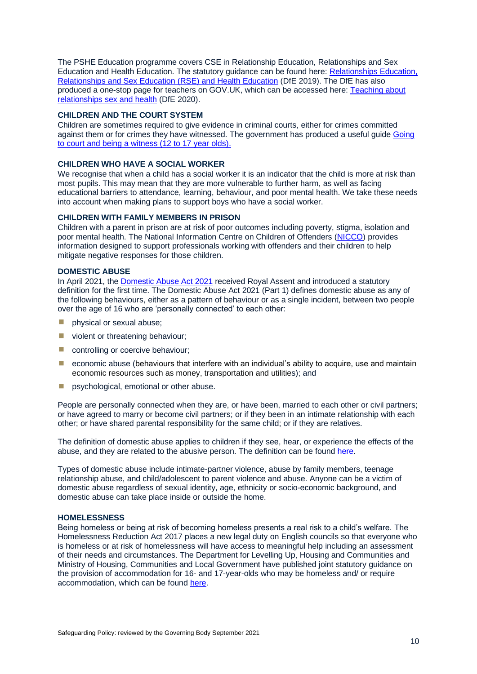The PSHE Education programme covers CSE in Relationship Education, Relationships and Sex Education and Health Education. The statutory guidance can be found here: [Relationships Education,](https://www.gov.uk/government/publications/relationships-education-relationships-and-sex-education-rse-and-health-education)  [Relationships and Sex Education \(RSE\) and Health Education](https://www.gov.uk/government/publications/relationships-education-relationships-and-sex-education-rse-and-health-education) (DfE 2019). The DfE has also produced a one-stop page for teachers on GOV.UK, which can be accessed here: [Teaching about](https://www.gov.uk/guidance/teaching-about-relationships-sex-and-health)  [relationships sex and health](https://www.gov.uk/guidance/teaching-about-relationships-sex-and-health) (DfE 2020).

### <span id="page-15-0"></span>**CHILDREN AND THE COURT SYSTEM**

Children are sometimes required to give evidence in criminal courts, either for crimes committed against them or for crimes they have witnessed. The government has produced a useful guide [Going](https://assets.publishing.service.gov.uk/government/uploads/system/uploads/attachment_data/file/708093/ywp-12-17-eng.pdf)  [to court and being a witness \(12 to 17 year olds\).](https://assets.publishing.service.gov.uk/government/uploads/system/uploads/attachment_data/file/708093/ywp-12-17-eng.pdf)

### <span id="page-15-1"></span>**CHILDREN WHO HAVE A SOCIAL WORKER**

We recognise that when a child has a social worker it is an indicator that the child is more at risk than most pupils. This may mean that they are more vulnerable to further harm, as well as facing educational barriers to attendance, learning, behaviour, and poor mental health. We take these needs into account when making plans to support boys who have a social worker.

### <span id="page-15-2"></span>**CHILDREN WITH FAMILY MEMBERS IN PRISON**

Children with a parent in prison are at risk of poor outcomes including poverty, stigma, isolation and poor mental health. The National Information Centre on Children of Offenders [\(NICCO\)](https://www.nicco.org.uk/) provides information designed to support professionals working with offenders and their children to help mitigate negative responses for those children.

### <span id="page-15-3"></span>**DOMESTIC ABUSE**

In April 2021, the [Domestic Abuse Act](https://www.legislation.gov.uk/ukpga/2021/17/part/1/enacted) 2021 received Royal Assent and introduced a statutory definition for the first time. The Domestic Abuse Act 2021 (Part 1) defines domestic abuse as any of the following behaviours, either as a pattern of behaviour or as a single incident, between two people over the age of 16 who are 'personally connected' to each other:

- **I** physical or sexual abuse;
- **u** violent or threatening behaviour;
- **E** controlling or coercive behaviour;
- $\blacksquare$  economic abuse (behaviours that interfere with an individual's ability to acquire, use and maintain economic resources such as money, transportation and utilities); and
- **E** psychological, emotional or other abuse.

People are personally connected when they are, or have been, married to each other or civil partners; or have agreed to marry or become civil partners; or if they been in an intimate relationship with each other; or have shared parental responsibility for the same child; or if they are relatives.

The definition of domestic abuse applies to children if they see, hear, or experience the effects of the abuse, and they are related to the abusive person. The definition can be found [here.](https://www.legislation.gov.uk/ukpga/2021/17/part/1/enacted)

Types of domestic abuse include intimate-partner violence, abuse by family members, teenage relationship abuse, and child/adolescent to parent violence and abuse. Anyone can be a victim of domestic abuse regardless of sexual identity, age, ethnicity or socio-economic background, and domestic abuse can take place inside or outside the home.

### <span id="page-15-4"></span>**HOMELESSNESS**

Being homeless or being at risk of becoming homeless presents a real risk to a child's welfare. The Homelessness Reduction Act 2017 places a new legal duty on English councils so that everyone who is homeless or at risk of homelessness will have access to meaningful help including an assessment of their needs and circumstances. The Department for Levelling Up, Housing and Communities and Ministry of Housing, Communities and Local Government have published joint statutory guidance on the provision of accommodation for 16- and 17-year-olds who may be homeless and/ or require accommodation, which can be found [here.](https://www.gov.uk/government/publications/homelessness-reduction-bill-policy-factsheets)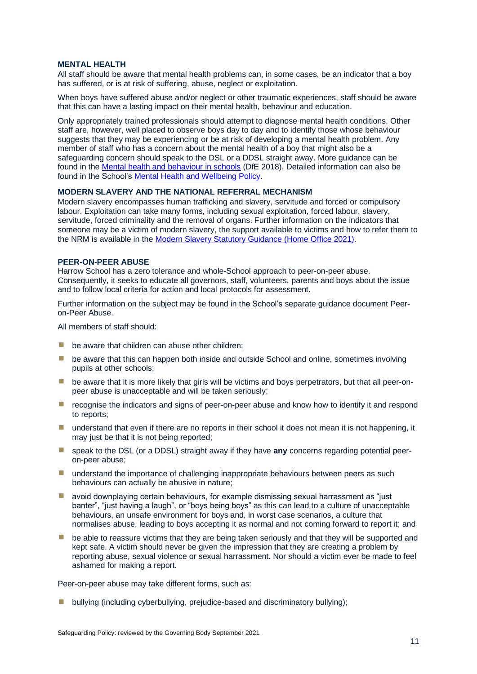#### <span id="page-16-0"></span>**MENTAL HEALTH**

All staff should be aware that mental health problems can, in some cases, be an indicator that a boy has suffered, or is at risk of suffering, abuse, neglect or exploitation.

When boys have suffered abuse and/or neglect or other traumatic experiences, staff should be aware that this can have a lasting impact on their mental health, behaviour and education.

Only appropriately trained professionals should attempt to diagnose mental health conditions. Other staff are, however, well placed to observe boys day to day and to identify those whose behaviour suggests that they may be experiencing or be at risk of developing a mental health problem. Any member of staff who has a concern about the mental health of a boy that might also be a safeguarding concern should speak to the DSL or a DDSL straight away. More guidance can be found in the [Mental health and behaviour in schools](https://www.gov.uk/government/publications/mental-health-and-behaviour-in-schools--2) (DfE 2018). Detailed information can also be found in the School's [Mental Health and Wellbeing Policy.](https://harrowschool.fireflycloud.net/resource.aspx?id=130844&officeint=on)

### <span id="page-16-1"></span>**MODERN SLAVERY AND THE NATIONAL REFERRAL MECHANISM**

Modern slavery encompasses human trafficking and slavery, servitude and forced or compulsory labour. Exploitation can take many forms, including sexual exploitation, forced labour, slavery, servitude, forced criminality and the removal of organs. Further information on the indicators that someone may be a victim of modern slavery, the support available to victims and how to refer them to the NRM is available in th[e Modern Slavery Statutory Guidance](https://assets.publishing.service.gov.uk/government/uploads/system/uploads/attachment_data/file/1023711/DRAFT_-_Modern_Slavery_Statutory_Guidance__EW__Non-Statutory_Guidance__SNI__v2.4_.pdf) (Home Office 2021).

### <span id="page-16-2"></span>**PEER-ON-PEER ABUSE**

Harrow School has a zero tolerance and whole-School approach to peer-on-peer abuse. Consequently, it seeks to educate all governors, staff, volunteers, parents and boys about the issue and to follow local criteria for action and local protocols for assessment.

Further information on the subject may be found in the School's separate guidance document Peeron-Peer Abuse.

All members of staff should:

- $\blacksquare$  be aware that children can abuse other children;
- **E** be aware that this can happen both inside and outside School and online, sometimes involving pupils at other schools;
- $\blacksquare$  be aware that it is more likely that girls will be victims and boys perpetrators, but that all peer-onpeer abuse is unacceptable and will be taken seriously;
- **E** recognise the indicators and signs of peer-on-peer abuse and know how to identify it and respond to reports;
- $\blacksquare$  understand that even if there are no reports in their school it does not mean it is not happening, it may just be that it is not being reported;
- speak to the DSL (or a DDSL) straight away if they have **any** concerns regarding potential peeron-peer abuse;
- $\blacksquare$  understand the importance of challenging inappropriate behaviours between peers as such behaviours can actually be abusive in nature;
- $\blacksquare$  avoid downplaying certain behaviours, for example dismissing sexual harrassment as "just banter", "just having a laugh", or "boys being boys" as this can lead to a culture of unacceptable behaviours, an unsafe environment for boys and, in worst case scenarios, a culture that normalises abuse, leading to boys accepting it as normal and not coming forward to report it; and
- **E** be able to reassure victims that they are being taken seriously and that they will be supported and kept safe. A victim should never be given the impression that they are creating a problem by reporting abuse, sexual violence or sexual harrassment. Nor should a victim ever be made to feel ashamed for making a report.

Peer-on-peer abuse may take different forms, such as:

■ bullying (including cyberbullying, prejudice-based and discriminatory bullying);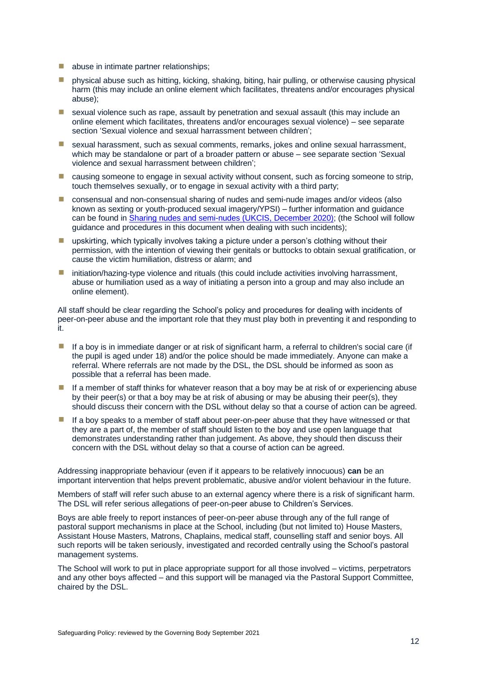- abuse in intimate partner relationships;
- $\blacksquare$  physical abuse such as hitting, kicking, shaking, biting, hair pulling, or otherwise causing physical harm (this may include an online element which facilitates, threatens and/or encourages physical abuse);
- $\blacksquare$  sexual violence such as rape, assault by penetration and sexual assault (this may include an online element which facilitates, threatens and/or encourages sexual violence) – see separate section 'Sexual violence and sexual harrassment between children';
- sexual harassment, such as sexual comments, remarks, jokes and online sexual harrassment, which may be standalone or part of a broader pattern or abuse – see separate section 'Sexual violence and sexual harrassment between children';
- causing someone to engage in sexual activity without consent, such as forcing someone to strip, touch themselves sexually, or to engage in sexual activity with a third party;
- consensual and non-consensual sharing of nudes and semi-nude images and/or videos (also known as sexting or youth-produced sexual imagery/YPSI) – further information and guidance can be found in [Sharing nudes and semi-nudes \(UKCIS, December 2020\);](https://assets.publishing.service.gov.uk/government/uploads/system/uploads/attachment_data/file/1008443/UKCIS_sharing_nudes_and_semi_nudes_advice_for_education_settings__Web_accessible_.pdf) (the School will follow guidance and procedures in this document when dealing with such incidents);
- **E** upskirting, which typically involves taking a picture under a person's clothing without their permission, with the intention of viewing their genitals or buttocks to obtain sexual gratification, or cause the victim humiliation, distress or alarm; and
- **I** initiation/hazing-type violence and rituals (this could include activities involving harrassment, abuse or humiliation used as a way of initiating a person into a group and may also include an online element).

All staff should be clear regarding the School's policy and procedures for dealing with incidents of peer-on-peer abuse and the important role that they must play both in preventing it and responding to it.

- $\blacksquare$  If a boy is in immediate danger or at risk of significant harm, a referral to children's social care (if the pupil is aged under 18) and/or the police should be made immediately. Anyone can make a referral. Where referrals are not made by the DSL, the DSL should be informed as soon as possible that a referral has been made.
- $\blacksquare$  If a member of staff thinks for whatever reason that a boy may be at risk of or experiencing abuse by their peer(s) or that a boy may be at risk of abusing or may be abusing their peer(s), they should discuss their concern with the DSL without delay so that a course of action can be agreed.
- $\blacksquare$  If a boy speaks to a member of staff about peer-on-peer abuse that they have witnessed or that they are a part of, the member of staff should listen to the boy and use open language that demonstrates understanding rather than judgement. As above, they should then discuss their concern with the DSL without delay so that a course of action can be agreed.

Addressing inappropriate behaviour (even if it appears to be relatively innocuous) **can** be an important intervention that helps prevent problematic, abusive and/or violent behaviour in the future.

Members of staff will refer such abuse to an external agency where there is a risk of significant harm. The DSL will refer serious allegations of peer-on-peer abuse to Children's Services.

Boys are able freely to report instances of peer-on-peer abuse through any of the full range of pastoral support mechanisms in place at the School, including (but not limited to) House Masters, Assistant House Masters, Matrons, Chaplains, medical staff, counselling staff and senior boys. All such reports will be taken seriously, investigated and recorded centrally using the School's pastoral management systems.

The School will work to put in place appropriate support for all those involved – victims, perpetrators and any other boys affected – and this support will be managed via the Pastoral Support Committee, chaired by the DSL.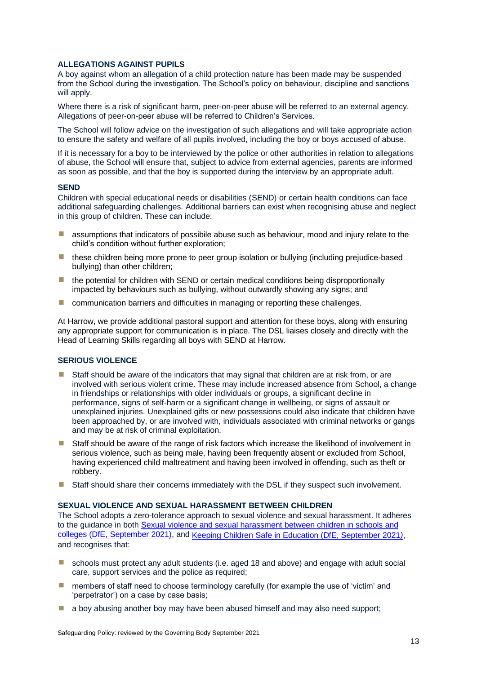### <span id="page-18-0"></span>**ALLEGATIONS AGAINST PUPILS**

A boy against whom an allegation of a child protection nature has been made may be suspended from the School during the investigation. The School's policy on behaviour, discipline and sanctions will apply.

Where there is a risk of significant harm, peer-on-peer abuse will be referred to an external agency. Allegations of peer-on-peer abuse will be referred to Children's Services.

The School will follow advice on the investigation of such allegations and will take appropriate action to ensure the safety and welfare of all pupils involved, including the boy or boys accused of abuse.

If it is necessary for a boy to be interviewed by the police or other authorities in relation to allegations of abuse, the School will ensure that, subject to advice from external agencies, parents are informed as soon as possible, and that the boy is supported during the interview by an appropriate adult.

#### <span id="page-18-1"></span>**SEND**

Children with special educational needs or disabilities (SEND) or certain health conditions can face additional safeguarding challenges. Additional barriers can exist when recognising abuse and neglect in this group of children. These can include:

- $\blacksquare$  assumptions that indicators of possibile abuse such as behaviour, mood and injury relate to the child's condition without further exploration;
- these children being more prone to peer group isolation or bullying (including prejudice-based bullying) than other children;
- $\blacksquare$  the potential for children with SEND or certain medical conditions being disproportionally impacted by behaviours such as bullying, without outwardly showing any signs; and
- **E** communication barriers and difficulties in managing or reporting these challenges.

At Harrow, we provide additional pastoral support and attention for these boys, along with ensuring any appropriate support for communication is in place. The DSL liaises closely and directly with the Head of Learning Skills regarding all boys with SEND at Harrow.

### <span id="page-18-2"></span>**SERIOUS VIOLENCE**

- $\blacksquare$  Staff should be aware of the indicators that may signal that children are at risk from, or are involved with serious violent crime. These may include increased absence from School, a change in friendships or relationships with older individuals or groups, a significant decline in performance, signs of self-harm or a significant change in wellbeing, or signs of assault or unexplained injuries. Unexplained gifts or new possessions could also indicate that children have been approached by, or are involved with, individuals associated with criminal networks or gangs and may be at risk of criminal exploitation.
- Staff should be aware of the range of risk factors which increase the likelihood of involvement in serious violence, such as being male, having been frequently absent or excluded from School, having experienced child maltreatment and having been involved in offending, such as theft or robbery.
- Staff should share their concerns immediately with the DSL if they suspect such involvement.

#### <span id="page-18-3"></span>**SEXUAL VIOLENCE AND SEXUAL HARASSMENT BETWEEN CHILDREN**

The School adopts a zero-tolerance approach to sexual violence and sexual harassment. It adheres to the guidance in both [Sexual violence and sexual harassment between children in schools and](https://assets.publishing.service.gov.uk/government/uploads/system/uploads/attachment_data/file/999239/SVSH_2021.pdf)  [colleges \(DfE, September 2021\),](https://assets.publishing.service.gov.uk/government/uploads/system/uploads/attachment_data/file/999239/SVSH_2021.pdf) and [Keeping Children Safe in Education \(DfE, September 2021](https://assets.publishing.service.gov.uk/government/uploads/system/uploads/attachment_data/file/1007260/Keeping_children_safe_in_education_2021.pdf)*)*, and recognises that:

- schools must protect any adult students (i.e. aged 18 and above) and engage with adult social care, support services and the police as required;
- $\blacksquare$  members of staff need to choose terminology carefully (for example the use of 'victim' and 'perpetrator') on a case by case basis;
- $\blacksquare$  a boy abusing another boy may have been abused himself and may also need support;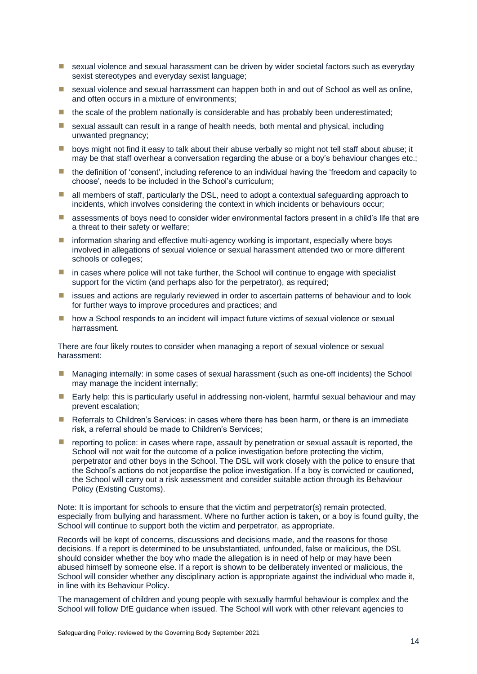- **E** sexual violence and sexual harassment can be driven by wider societal factors such as everyday sexist stereotypes and everyday sexist language;
- **E** sexual violence and sexual harrassment can happen both in and out of School as well as online, and often occurs in a mixture of environments;
- $\blacksquare$  the scale of the problem nationally is considerable and has probably been underestimated;
- $\blacksquare$  sexual assault can result in a range of health needs, both mental and physical, including unwanted pregnancy;
- **■** boys might not find it easy to talk about their abuse verbally so might not tell staff about abuse; it may be that staff overhear a conversation regarding the abuse or a boy's behaviour changes etc.;
- $\blacksquare$  the definition of 'consent', including reference to an individual having the 'freedom and capacity to choose', needs to be included in the School's curriculum;
- all members of staff, particularly the DSL, need to adopt a contextual safeguarding approach to incidents, which involves considering the context in which incidents or behaviours occur;
- **E** assessments of boys need to consider wider environmental factors present in a child's life that are a threat to their safety or welfare;
- **I** information sharing and effective multi-agency working is important, especially where boys involved in allegations of sexual violence or sexual harassment attended two or more different schools or colleges;
- in cases where police will not take further, the School will continue to engage with specialist support for the victim (and perhaps also for the perpetrator), as required;
- **E** issues and actions are regularly reviewed in order to ascertain patterns of behaviour and to look for further ways to improve procedures and practices; and
- **If** how a School responds to an incident will impact future victims of sexual violence or sexual harrassment.

There are four likely routes to consider when managing a report of sexual violence or sexual harassment:

- Managing internally: in some cases of sexual harassment (such as one-off incidents) the School may manage the incident internally;
- Early help: this is particularly useful in addressing non-violent, harmful sexual behaviour and may prevent escalation;
- Referrals to Children's Services: in cases where there has been harm, or there is an immediate risk, a referral should be made to Children's Services;
- $\blacksquare$  reporting to police: in cases where rape, assault by penetration or sexual assault is reported, the School will not wait for the outcome of a police investigation before protecting the victim, perpetrator and other boys in the School. The DSL will work closely with the police to ensure that the School's actions do not jeopardise the police investigation. If a boy is convicted or cautioned, the School will carry out a risk assessment and consider suitable action through its Behaviour Policy (Existing Customs).

Note: It is important for schools to ensure that the victim and perpetrator(s) remain protected, especially from bullying and harassment. Where no further action is taken, or a boy is found guilty, the School will continue to support both the victim and perpetrator, as appropriate.

Records will be kept of concerns, discussions and decisions made, and the reasons for those decisions. If a report is determined to be unsubstantiated, unfounded, false or malicious, the DSL should consider whether the boy who made the allegation is in need of help or may have been abused himself by someone else. If a report is shown to be deliberately invented or malicious, the School will consider whether any disciplinary action is appropriate against the individual who made it, in line with its Behaviour Policy.

The management of children and young people with sexually harmful behaviour is complex and the School will follow DfE guidance when issued. The School will work with other relevant agencies to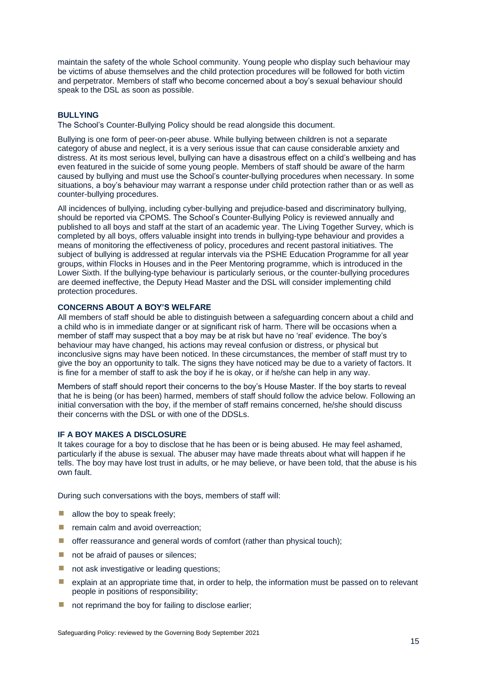maintain the safety of the whole School community. Young people who display such behaviour may be victims of abuse themselves and the child protection procedures will be followed for both victim and perpetrator. Members of staff who become concerned about a boy's sexual behaviour should speak to the DSL as soon as possible.

### <span id="page-20-0"></span>**BULLYING**

The School's Counter-Bullying Policy should be read alongside this document.

Bullying is one form of peer-on-peer abuse. While bullying between children is not a separate category of abuse and neglect, it is a very serious issue that can cause considerable anxiety and distress. At its most serious level, bullying can have a disastrous effect on a child's wellbeing and has even featured in the suicide of some young people. Members of staff should be aware of the harm caused by bullying and must use the School's counter-bullying procedures when necessary. In some situations, a boy's behaviour may warrant a response under child protection rather than or as well as counter-bullying procedures.

All incidences of bullying, including cyber-bullying and prejudice-based and discriminatory bullying, should be reported via CPOMS. The School's Counter-Bullying Policy is reviewed annually and published to all boys and staff at the start of an academic year. The Living Together Survey, which is completed by all boys, offers valuable insight into trends in bullying-type behaviour and provides a means of monitoring the effectiveness of policy, procedures and recent pastoral initiatives. The subject of bullying is addressed at regular intervals via the PSHE Education Programme for all year groups, within Flocks in Houses and in the Peer Mentoring programme, which is introduced in the Lower Sixth. If the bullying-type behaviour is particularly serious, or the counter-bullying procedures are deemed ineffective, the Deputy Head Master and the DSL will consider implementing child protection procedures.

### <span id="page-20-1"></span>**CONCERNS ABOUT A BOY'S WELFARE**

All members of staff should be able to distinguish between a safeguarding concern about a child and a child who is in immediate danger or at significant risk of harm. There will be occasions when a member of staff may suspect that a boy may be at risk but have no 'real' evidence. The boy's behaviour may have changed, his actions may reveal confusion or distress, or physical but inconclusive signs may have been noticed. In these circumstances, the member of staff must try to give the boy an opportunity to talk. The signs they have noticed may be due to a variety of factors. It is fine for a member of staff to ask the boy if he is okay, or if he/she can help in any way.

Members of staff should report their concerns to the boy's House Master. If the boy starts to reveal that he is being (or has been) harmed, members of staff should follow the advice below. Following an initial conversation with the boy, if the member of staff remains concerned, he/she should discuss their concerns with the DSL or with one of the DDSLs.

### <span id="page-20-2"></span>**IF A BOY MAKES A DISCLOSURE**

It takes courage for a boy to disclose that he has been or is being abused. He may feel ashamed, particularly if the abuse is sexual. The abuser may have made threats about what will happen if he tells. The boy may have lost trust in adults, or he may believe, or have been told, that the abuse is his own fault.

During such conversations with the boys, members of staff will:

- $\blacksquare$  allow the boy to speak freely;
- **E** remain calm and avoid overreaction;
- $\blacksquare$  offer reassurance and general words of comfort (rather than physical touch);
- not be afraid of pauses or silences;
- not ask investigative or leading questions:
- explain at an appropriate time that, in order to help, the information must be passed on to relevant people in positions of responsibility;
- $\blacksquare$  not reprimand the boy for failing to disclose earlier;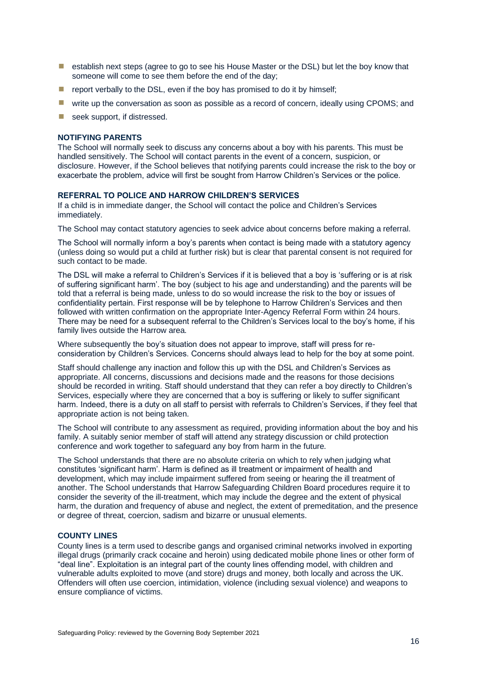- establish next steps (agree to go to see his House Master or the DSL) but let the boy know that someone will come to see them before the end of the day:
- $\blacksquare$  report verbally to the DSL, even if the boy has promised to do it by himself;
- **I** write up the conversation as soon as possible as a record of concern, ideally using CPOMS; and
- $\blacksquare$  seek support, if distressed.

### <span id="page-21-0"></span>**NOTIFYING PARENTS**

The School will normally seek to discuss any concerns about a boy with his parents. This must be handled sensitively. The School will contact parents in the event of a concern, suspicion, or disclosure. However, if the School believes that notifying parents could increase the risk to the boy or exacerbate the problem, advice will first be sought from Harrow Children's Services or the police.

#### <span id="page-21-1"></span>**REFERRAL TO POLICE AND HARROW CHILDREN'S SERVICES**

If a child is in immediate danger, the School will contact the police and Children's Services immediately.

The School may contact statutory agencies to seek advice about concerns before making a referral.

The School will normally inform a boy's parents when contact is being made with a statutory agency (unless doing so would put a child at further risk) but is clear that parental consent is not required for such contact to be made.

The DSL will make a referral to Children's Services if it is believed that a boy is 'suffering or is at risk of suffering significant harm'. The boy (subject to his age and understanding) and the parents will be told that a referral is being made, unless to do so would increase the risk to the boy or issues of confidentiality pertain. First response will be by telephone to Harrow Children's Services and then followed with written confirmation on the appropriate Inter-Agency Referral Form within 24 hours. There may be need for a subsequent referral to the Children's Services local to the boy's home, if his family lives outside the Harrow area.

Where subsequently the boy's situation does not appear to improve, staff will press for reconsideration by Children's Services. Concerns should always lead to help for the boy at some point.

Staff should challenge any inaction and follow this up with the DSL and Children's Services as appropriate. All concerns, discussions and decisions made and the reasons for those decisions should be recorded in writing. Staff should understand that they can refer a boy directly to Children's Services, especially where they are concerned that a boy is suffering or likely to suffer significant harm. Indeed, there is a duty on all staff to persist with referrals to Children's Services, if they feel that appropriate action is not being taken.

The School will contribute to any assessment as required, providing information about the boy and his family. A suitably senior member of staff will attend any strategy discussion or child protection conference and work together to safeguard any boy from harm in the future.

The School understands that there are no absolute criteria on which to rely when judging what constitutes 'significant harm'. Harm is defined as ill treatment or impairment of health and development, which may include impairment suffered from seeing or hearing the ill treatment of another. The School understands that Harrow Safeguarding Children Board procedures require it to consider the severity of the ill-treatment, which may include the degree and the extent of physical harm, the duration and frequency of abuse and neglect, the extent of premeditation, and the presence or degree of threat, coercion, sadism and bizarre or unusual elements.

### <span id="page-21-2"></span>**COUNTY LINES**

County lines is a term used to describe gangs and organised criminal networks involved in exporting illegal drugs (primarily crack cocaine and heroin) using dedicated mobile phone lines or other form of "deal line". Exploitation is an integral part of the county lines offending model, with children and vulnerable adults exploited to move (and store) drugs and money, both locally and across the UK. Offenders will often use coercion, intimidation, violence (including sexual violence) and weapons to ensure compliance of victims.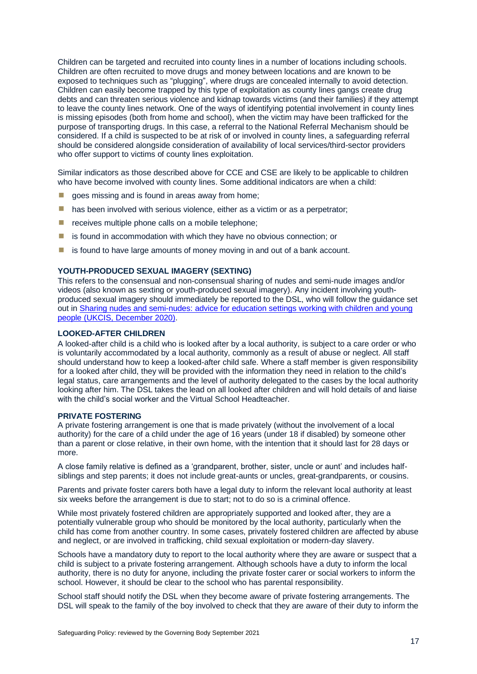Children can be targeted and recruited into county lines in a number of locations including schools. Children are often recruited to move drugs and money between locations and are known to be exposed to techniques such as "plugging", where drugs are concealed internally to avoid detection. Children can easily become trapped by this type of exploitation as county lines gangs create drug debts and can threaten serious violence and kidnap towards victims (and their families) if they attempt to leave the county lines network. One of the ways of identifying potential involvement in county lines is missing episodes (both from home and school), when the victim may have been trafficked for the purpose of transporting drugs. In this case, a referral to the National Referral Mechanism should be considered. If a child is suspected to be at risk of or involved in county lines, a safeguarding referral should be considered alongside consideration of availability of local services/third-sector providers who offer support to victims of county lines exploitation.

Similar indicators as those described above for CCE and CSE are likely to be applicable to children who have become involved with county lines. Some additional indicators are when a child:

- $\Box$  goes missing and is found in areas away from home;
- $\blacksquare$  has been involved with serious violence, either as a victim or as a perpetrator;
- receives multiple phone calls on a mobile telephone;
- is found in accommodation with which they have no obvious connection; or
- $\blacksquare$  is found to have large amounts of money moving in and out of a bank account.

### <span id="page-22-0"></span>**YOUTH-PRODUCED SEXUAL IMAGERY (SEXTING)**

This refers to the consensual and non-consensual sharing of nudes and semi-nude images and/or videos (also known as sexting or youth-produced sexual imagery). Any incident involving youthproduced sexual imagery should immediately be reported to the DSL, who will follow the guidance set out in [Sharing nudes and semi-nudes: advice for education settings working with children and young](https://www.gov.uk/government/publications/sharing-nudes-and-semi-nudes-advice-for-education-settings-working-with-children-and-young-people)  [people](https://www.gov.uk/government/publications/sharing-nudes-and-semi-nudes-advice-for-education-settings-working-with-children-and-young-people) (UKCIS, December 2020).

### <span id="page-22-1"></span>**LOOKED-AFTER CHILDREN**

A looked-after child is a child who is looked after by a local authority, is subject to a care order or who is voluntarily accommodated by a local authority, commonly as a result of abuse or neglect. All staff should understand how to keep a looked-after child safe. Where a staff member is given responsibility for a looked after child, they will be provided with the information they need in relation to the child's legal status, care arrangements and the level of authority delegated to the cases by the local authority looking after him. The DSL takes the lead on all looked after children and will hold details of and liaise with the child's social worker and the Virtual School Headteacher.

### <span id="page-22-2"></span>**PRIVATE FOSTERING**

A private fostering arrangement is one that is made privately (without the involvement of a local authority) for the care of a child under the age of 16 years (under 18 if disabled) by someone other than a parent or close relative, in their own home, with the intention that it should last for 28 days or more.

A close family relative is defined as a 'grandparent, brother, sister, uncle or aunt' and includes halfsiblings and step parents; it does not include great-aunts or uncles, great-grandparents, or cousins.

Parents and private foster carers both have a legal duty to inform the relevant local authority at least six weeks before the arrangement is due to start; not to do so is a criminal offence.

While most privately fostered children are appropriately supported and looked after, they are a potentially vulnerable group who should be monitored by the local authority, particularly when the child has come from another country. In some cases, privately fostered children are affected by abuse and neglect, or are involved in trafficking, child sexual exploitation or modern-day slavery.

Schools have a mandatory duty to report to the local authority where they are aware or suspect that a child is subject to a private fostering arrangement. Although schools have a duty to inform the local authority, there is no duty for anyone, including the private foster carer or social workers to inform the school. However, it should be clear to the school who has parental responsibility.

School staff should notify the DSL when they become aware of private fostering arrangements. The DSL will speak to the family of the boy involved to check that they are aware of their duty to inform the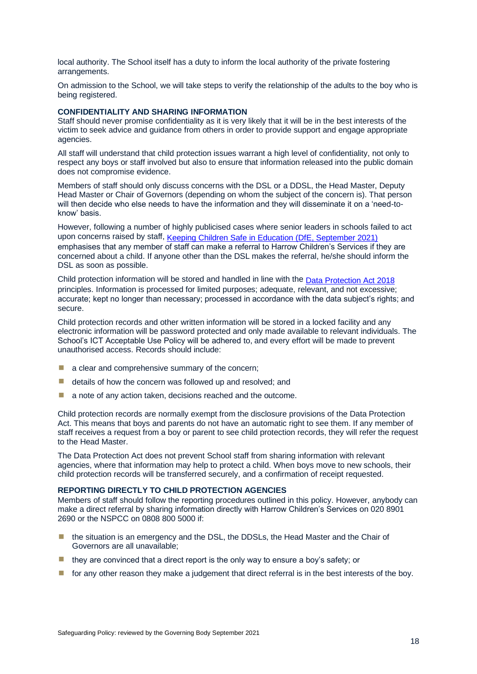local authority. The School itself has a duty to inform the local authority of the private fostering arrangements.

On admission to the School, we will take steps to verify the relationship of the adults to the boy who is being registered.

### <span id="page-23-0"></span>**CONFIDENTIALITY AND SHARING INFORMATION**

Staff should never promise confidentiality as it is very likely that it will be in the best interests of the victim to seek advice and guidance from others in order to provide support and engage appropriate agencies.

All staff will understand that child protection issues warrant a high level of confidentiality, not only to respect any boys or staff involved but also to ensure that information released into the public domain does not compromise evidence.

Members of staff should only discuss concerns with the DSL or a DDSL, the Head Master, Deputy Head Master or Chair of Governors (depending on whom the subject of the concern is). That person will then decide who else needs to have the information and they will disseminate it on a 'need-toknow' basis.

However, following a number of highly publicised cases where senior leaders in schools failed to act upon concerns raised by staff, [Keeping Children Safe in Education \(DfE, September 2021\)](https://assets.publishing.service.gov.uk/government/uploads/system/uploads/attachment_data/file/1007260/Keeping_children_safe_in_education_2021.pdf) emphasises that any member of staff can make a referral to Harrow Children's Services if they are concerned about a child. If anyone other than the DSL makes the referral, he/she should inform the DSL as soon as possible.

Child protection information will be stored and handled in line with the [Data Protection Act 2018](http://www.legislation.gov.uk/ukpga/2018/12/contents/enacted) principles. Information is processed for limited purposes; adequate, relevant, and not excessive; accurate; kept no longer than necessary; processed in accordance with the data subject's rights; and secure.

Child protection records and other written information will be stored in a locked facility and any electronic information will be password protected and only made available to relevant individuals. The School's ICT Acceptable Use Policy will be adhered to, and every effort will be made to prevent unauthorised access. Records should include:

- $\blacksquare$  a clear and comprehensive summary of the concern:
- $\blacksquare$  details of how the concern was followed up and resolved; and
- a note of any action taken, decisions reached and the outcome.

Child protection records are normally exempt from the disclosure provisions of the Data Protection Act. This means that boys and parents do not have an automatic right to see them. If any member of staff receives a request from a boy or parent to see child protection records, they will refer the request to the Head Master.

The Data Protection Act does not prevent School staff from sharing information with relevant agencies, where that information may help to protect a child. When boys move to new schools, their child protection records will be transferred securely, and a confirmation of receipt requested.

#### <span id="page-23-1"></span>**REPORTING DIRECTLY TO CHILD PROTECTION AGENCIES**

Members of staff should follow the reporting procedures outlined in this policy. However, anybody can make a direct referral by sharing information directly with Harrow Children's Services on 020 8901 2690 or the NSPCC on 0808 800 5000 if:

- $\blacksquare$  the situation is an emergency and the DSL, the DDSLs, the Head Master and the Chair of Governors are all unavailable;
- $\blacksquare$  they are convinced that a direct report is the only way to ensure a boy's safety; or
- for any other reason they make a judgement that direct referral is in the best interests of the boy.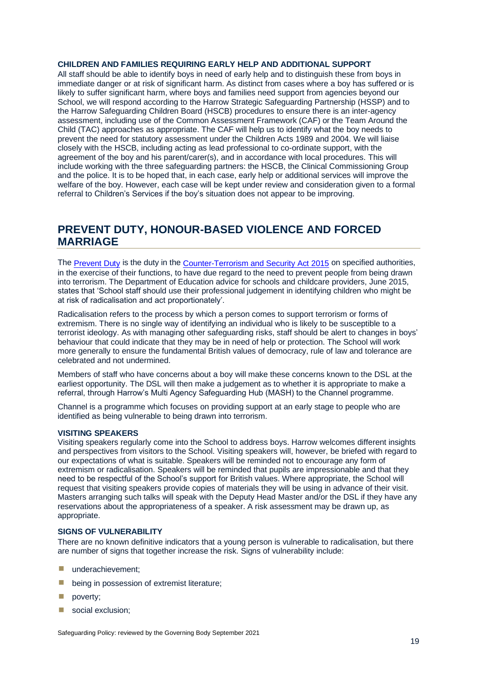### <span id="page-24-0"></span>**CHILDREN AND FAMILIES REQUIRING EARLY HELP AND ADDITIONAL SUPPORT**

All staff should be able to identify boys in need of early help and to distinguish these from boys in immediate danger or at risk of significant harm. As distinct from cases where a boy has suffered or is likely to suffer significant harm, where boys and families need support from agencies beyond our School, we will respond according to the Harrow Strategic Safeguarding Partnership (HSSP) and to the Harrow Safeguarding Children Board (HSCB) procedures to ensure there is an inter-agency assessment, including use of the Common Assessment Framework (CAF) or the Team Around the Child (TAC) approaches as appropriate. The CAF will help us to identify what the boy needs to prevent the need for statutory assessment under the Children Acts 1989 and 2004. We will liaise closely with the HSCB, including acting as lead professional to co-ordinate support, with the agreement of the boy and his parent/carer(s), and in accordance with local procedures. This will include working with the three safeguarding partners: the HSCB, the Clinical Commissioning Group and the police. It is to be hoped that, in each case, early help or additional services will improve the welfare of the boy. However, each case will be kept under review and consideration given to a formal referral to Children's Services if the boy's situation does not appear to be improving.

### <span id="page-24-1"></span>**PREVENT DUTY, HONOUR-BASED VIOLENCE AND FORCED MARRIAGE**

The [Prevent Duty](https://assets.publishing.service.gov.uk/government/uploads/system/uploads/attachment_data/file/439598/prevent-duty-departmental-advice-v6.pdf) is the duty in the [Counter-Terrorism and Security Act 2015](http://www.legislation.gov.uk/ukpga/2015/6/contents/enacted) on specified authorities, in the exercise of their functions, to have due regard to the need to prevent people from being drawn into terrorism. The Department of Education advice for schools and childcare providers, June 2015, states that 'School staff should use their professional judgement in identifying children who might be at risk of radicalisation and act proportionately'.

Radicalisation refers to the process by which a person comes to support terrorism or forms of extremism. There is no single way of identifying an individual who is likely to be susceptible to a terrorist ideology. As with managing other safeguarding risks, staff should be alert to changes in boys' behaviour that could indicate that they may be in need of help or protection. The School will work more generally to ensure the fundamental British values of democracy, rule of law and tolerance are celebrated and not undermined.

Members of staff who have concerns about a boy will make these concerns known to the DSL at the earliest opportunity. The DSL will then make a judgement as to whether it is appropriate to make a referral, through Harrow's Multi Agency Safeguarding Hub (MASH) to the Channel programme.

Channel is a programme which focuses on providing support at an early stage to people who are identified as being vulnerable to being drawn into terrorism.

### <span id="page-24-2"></span>**VISITING SPEAKERS**

Visiting speakers regularly come into the School to address boys. Harrow welcomes different insights and perspectives from visitors to the School. Visiting speakers will, however, be briefed with regard to our expectations of what is suitable. Speakers will be reminded not to encourage any form of extremism or radicalisation. Speakers will be reminded that pupils are impressionable and that they need to be respectful of the School's support for British values. Where appropriate, the School will request that visiting speakers provide copies of materials they will be using in advance of their visit. Masters arranging such talks will speak with the Deputy Head Master and/or the DSL if they have any reservations about the appropriateness of a speaker. A risk assessment may be drawn up, as appropriate.

### <span id="page-24-3"></span>**SIGNS OF VULNERABILITY**

There are no known definitive indicators that a young person is vulnerable to radicalisation, but there are number of signs that together increase the risk. Signs of vulnerability include:

- **Lunderachievement:**
- **E** being in possession of extremist literature:
- $\blacksquare$  poverty;
- social exclusion;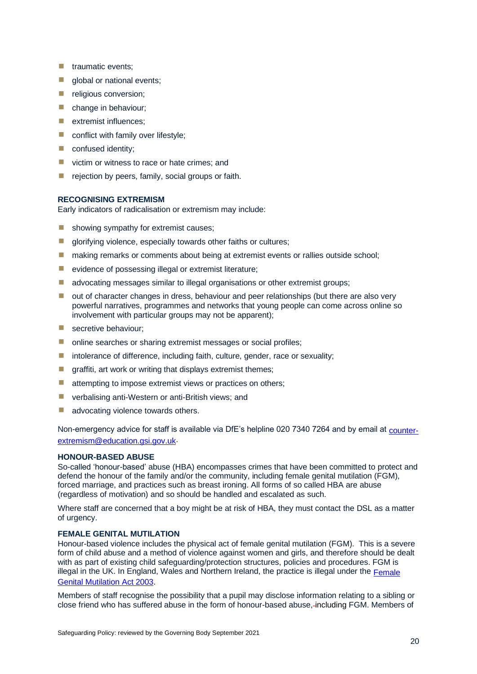- **T** traumatic events;
- $\blacksquare$  global or national events;
- **E** religious conversion:
- $\blacksquare$  change in behaviour:
- $\blacksquare$  extremist influences:
- conflict with family over lifestyle;
- **E** confused identity;
- victim or witness to race or hate crimes; and
- $\blacksquare$  rejection by peers, family, social groups or faith.

### <span id="page-25-0"></span>**RECOGNISING EXTREMISM**

Early indicators of radicalisation or extremism may include:

- $\blacksquare$  showing sympathy for extremist causes;
- $\blacksquare$  glorifying violence, especially towards other faiths or cultures;
- making remarks or comments about being at extremist events or rallies outside school;
- evidence of possessing illegal or extremist literature;
- **E** advocating messages similar to illegal organisations or other extremist groups;
- $\blacksquare$  out of character changes in dress, behaviour and peer relationships (but there are also very powerful narratives, programmes and networks that young people can come across online so involvement with particular groups may not be apparent);
- **B** secretive behaviour;
- online searches or sharing extremist messages or social profiles;
- intolerance of difference, including faith, culture, gender, race or sexuality;
- $\blacksquare$  graffiti, art work or writing that displays extremist themes;
- attempting to impose extremist views or practices on others:
- **E** verbalising anti-Western or anti-British views; and
- advocating violence towards others.

Non-emergency advice for staff is available via DfE's helpline 020 7340 7264 and by email at [counter](mailto:counter-extremism@education.gsi.gov.uk)[extremism@education.gsi.gov.uk.](mailto:counter-extremism@education.gsi.gov.uk)

### <span id="page-25-1"></span>**HONOUR-BASED ABUSE**

So-called 'honour-based' abuse (HBA) encompasses crimes that have been committed to protect and defend the honour of the family and/or the community, including female genital mutilation (FGM), forced marriage, and practices such as breast ironing. All forms of so called HBA are abuse (regardless of motivation) and so should be handled and escalated as such.

Where staff are concerned that a boy might be at risk of HBA, they must contact the DSL as a matter of urgency.

### <span id="page-25-2"></span>**FEMALE GENITAL MUTILATION**

Honour-based violence includes the physical act of female genital mutilation (FGM). This is a severe form of child abuse and a method of violence against women and girls, and therefore should be dealt with as part of existing child safeguarding/protection structures, policies and procedures. FGM is illegal in the UK. In England, Wales and Northern Ireland, the practice is illegal under the Female [Genital Mutilation Act 2003.](https://www.legislation.gov.uk/ukpga/2003/31/contents)

Members of staff recognise the possibility that a pupil may disclose information relating to a sibling or close friend who has suffered abuse in the form of honour-based abuse, including FGM. Members of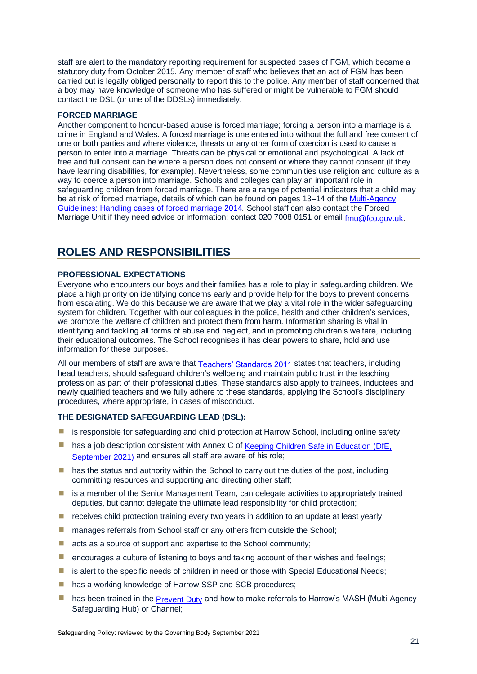staff are alert to the mandatory reporting requirement for suspected cases of FGM, which became a statutory duty from October 2015. Any member of staff who believes that an act of FGM has been carried out is legally obliged personally to report this to the police. Any member of staff concerned that a boy may have knowledge of someone who has suffered or might be vulnerable to FGM should contact the DSL (or one of the DDSLs) immediately.

### <span id="page-26-0"></span>**FORCED MARRIAGE**

Another component to honour-based abuse is forced marriage; forcing a person into a marriage is a crime in England and Wales. A forced marriage is one entered into without the full and free consent of one or both parties and where violence, threats or any other form of coercion is used to cause a person to enter into a marriage. Threats can be physical or emotional and psychological. A lack of free and full consent can be where a person does not consent or where they cannot consent (if they have learning disabilities, for example). Nevertheless, some communities use religion and culture as a way to coerce a person into marriage. Schools and colleges can play an important role in safeguarding children from forced marriage. There are a range of potential indicators that a child may be at risk of forced marriage, details of which can be found on pages 13–14 of the [Multi-Agency](https://assets.publishing.service.gov.uk/government/uploads/system/uploads/attachment_data/file/322307/HMG_MULTI_AGENCY_PRACTICE_GUIDELINES_v1_180614_FINAL.pdf)  [Guidelines: Handling cases of forced marriage](https://assets.publishing.service.gov.uk/government/uploads/system/uploads/attachment_data/file/322307/HMG_MULTI_AGENCY_PRACTICE_GUIDELINES_v1_180614_FINAL.pdf) 2014*.* School staff can also contact the Forced Marriage Unit if they need advice or information: contact 020 7008 0151 or email  $f_{\text{m}}$ u@fco.gov.uk.

### <span id="page-26-1"></span>**ROLES AND RESPONSIBILITIES**

#### <span id="page-26-2"></span>**PROFESSIONAL EXPECTATIONS**

Everyone who encounters our boys and their families has a role to play in safeguarding children. We place a high priority on identifying concerns early and provide help for the boys to prevent concerns from escalating. We do this because we are aware that we play a vital role in the wider safeguarding system for children. Together with our colleagues in the police, health and other children's services, we promote the welfare of children and protect them from harm. Information sharing is vital in identifying and tackling all forms of abuse and neglect, and in promoting children's welfare, including their educational outcomes. The School recognises it has clear powers to share, hold and use information for these purposes.

All our members of staff are aware that [Teachers' Standards 2011](https://www.gov.uk/government/publications/teachers-standards) states that teachers, including head teachers, should safeguard children's wellbeing and maintain public trust in the teaching profession as part of their professional duties. These standards also apply to trainees, inductees and newly qualified teachers and we fully adhere to these standards, applying the School's disciplinary procedures, where appropriate, in cases of misconduct.

### <span id="page-26-3"></span>**THE DESIGNATED SAFEGUARDING LEAD (DSL):**

- **E** is responsible for safeguarding and child protection at Harrow School, including online safety;
- has a job description consistent with Annex C of Keeping Children Safe in Education (DfE, [September 2021\)](https://assets.publishing.service.gov.uk/government/uploads/system/uploads/attachment_data/file/1007260/Keeping_children_safe_in_education_2021.pdf) and ensures all staff are aware of his role;
- $\blacksquare$  has the status and authority within the School to carry out the duties of the post, including committing resources and supporting and directing other staff;
- **E** is a member of the Senior Management Team, can delegate activities to appropriately trained deputies, but cannot delegate the ultimate lead responsibility for child protection;
- $\blacksquare$  receives child protection training every two years in addition to an update at least yearly;
- **E** manages referrals from School staff or any others from outside the School;
- acts as a source of support and expertise to the School community;
- **E** encourages a culture of listening to boys and taking account of their wishes and feelings;
- $\blacksquare$  is alert to the specific needs of children in need or those with Special Educational Needs;
- has a working knowledge of Harrow SSP and SCB procedures;
- has been trained in the [Prevent Duty](https://assets.publishing.service.gov.uk/government/uploads/system/uploads/attachment_data/file/439598/prevent-duty-departmental-advice-v6.pdf) and how to make referrals to Harrow's MASH (Multi-Agency Safeguarding Hub) or Channel;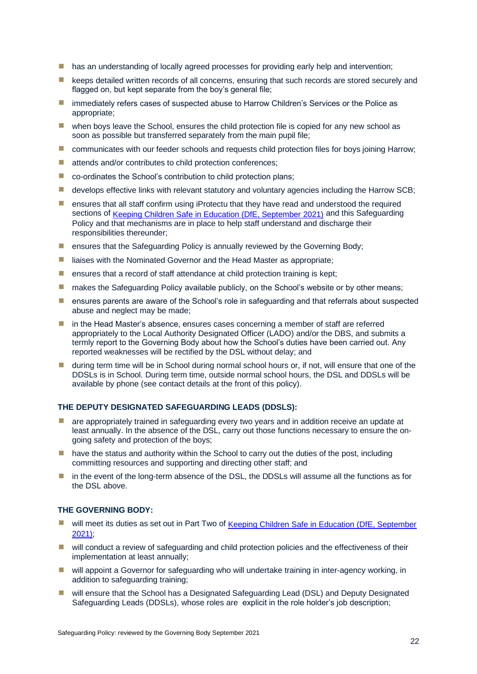- has an understanding of locally agreed processes for providing early help and intervention;
- keeps detailed written records of all concerns, ensuring that such records are stored securely and flagged on, but kept separate from the boy's general file;
- **E** immediately refers cases of suspected abuse to Harrow Children's Services or the Police as appropriate;
- $\blacksquare$  when boys leave the School, ensures the child protection file is copied for any new school as soon as possible but transferred separately from the main pupil file;
- **E** communicates with our feeder schools and requests child protection files for boys joining Harrow;
- attends and/or contributes to child protection conferences;
- $\blacksquare$  co-ordinates the School's contribution to child protection plans;
- $\blacksquare$  develops effective links with relevant statutory and voluntary agencies including the Harrow SCB;
- **E** ensures that all staff confirm using iProtectu that they have read and understood the required sections of [Keeping Children Safe in Education \(DfE, September 2021\)](https://assets.publishing.service.gov.uk/government/uploads/system/uploads/attachment_data/file/1007260/Keeping_children_safe_in_education_2021.pdf) and this Safeguarding Policy and that mechanisms are in place to help staff understand and discharge their responsibilities thereunder;
- **E** ensures that the Safeguarding Policy is annually reviewed by the Governing Body;
- liaises with the Nominated Governor and the Head Master as appropriate;
- $\blacksquare$  ensures that a record of staff attendance at child protection training is kept;
- **E** makes the Safeguarding Policy available publicly, on the School's website or by other means;
- **E** ensures parents are aware of the School's role in safeguarding and that referrals about suspected abuse and neglect may be made;
- **n** in the Head Master's absence, ensures cases concerning a member of staff are referred appropriately to the Local Authority Designated Officer (LADO) and/or the DBS, and submits a termly report to the Governing Body about how the School's duties have been carried out. Any reported weaknesses will be rectified by the DSL without delay; and
- **If** during term time will be in School during normal school hours or, if not, will ensure that one of the DDSLs is in School. During term time, outside normal school hours, the DSL and DDSLs will be available by phone (see contact details at the front of this policy).

### <span id="page-27-0"></span>**THE DEPUTY DESIGNATED SAFEGUARDING LEADS (DDSLS):**

- **E** are appropriately trained in safeguarding every two years and in addition receive an update at least annually. In the absence of the DSL, carry out those functions necessary to ensure the ongoing safety and protection of the boys;
- $\blacksquare$  have the status and authority within the School to carry out the duties of the post, including committing resources and supporting and directing other staff; and
- in the event of the long-term absence of the DSL, the DDSLs will assume all the functions as for the DSL above.

### <span id="page-27-1"></span>**THE GOVERNING BODY:**

- will meet its duties as set out in Part Two of Keeping Children Safe in Education (DfE, September [2021\);](https://assets.publishing.service.gov.uk/government/uploads/system/uploads/attachment_data/file/1007260/Keeping_children_safe_in_education_2021.pdf)
- will conduct a review of safeguarding and child protection policies and the effectiveness of their implementation at least annually;
- will appoint a Governor for safeguarding who will undertake training in inter-agency working, in addition to safeguarding training;
- will ensure that the School has a Designated Safeguarding Lead (DSL) and Deputy Designated Safeguarding Leads (DDSLs), whose roles are explicit in the role holder's job description;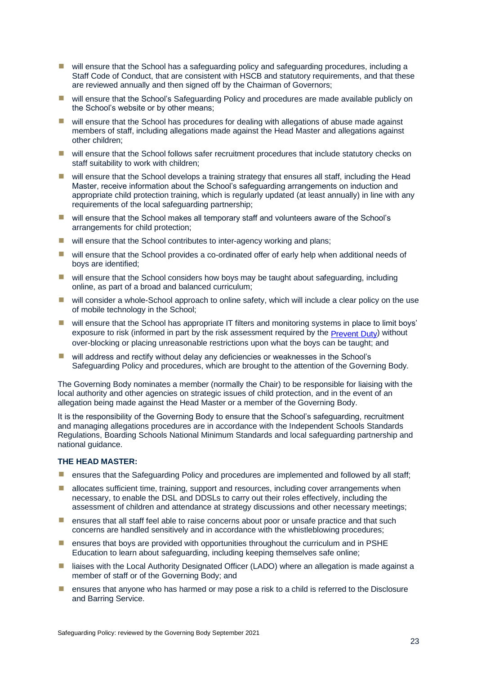- will ensure that the School has a safeguarding policy and safeguarding procedures, including a Staff Code of Conduct, that are consistent with HSCB and statutory requirements, and that these are reviewed annually and then signed off by the Chairman of Governors;
- will ensure that the School's Safeguarding Policy and procedures are made available publicly on the School's website or by other means;
- will ensure that the School has procedures for dealing with allegations of abuse made against members of staff, including allegations made against the Head Master and allegations against other children;
- will ensure that the School follows safer recruitment procedures that include statutory checks on staff suitability to work with children;
- will ensure that the School develops a training strategy that ensures all staff, including the Head Master, receive information about the School's safeguarding arrangements on induction and appropriate child protection training, which is regularly updated (at least annually) in line with any requirements of the local safeguarding partnership;
- will ensure that the School makes all temporary staff and volunteers aware of the School's arrangements for child protection;
- will ensure that the School contributes to inter-agency working and plans:
- will ensure that the School provides a co-ordinated offer of early help when additional needs of boys are identified;
- $\blacksquare$  will ensure that the School considers how boys may be taught about safeguarding, including online, as part of a broad and balanced curriculum;
- will consider a whole-School approach to online safety, which will include a clear policy on the use of mobile technology in the School;
- will ensure that the School has appropriate IT filters and monitoring systems in place to limit boys' exposure to risk (informed in part by the risk assessment required by the [Prevent Duty\)](https://assets.publishing.service.gov.uk/government/uploads/system/uploads/attachment_data/file/439598/prevent-duty-departmental-advice-v6.pdf) without over-blocking or placing unreasonable restrictions upon what the boys can be taught; and
- will address and rectify without delay any deficiencies or weaknesses in the School's Safeguarding Policy and procedures, which are brought to the attention of the Governing Body.

The Governing Body nominates a member (normally the Chair) to be responsible for liaising with the local authority and other agencies on strategic issues of child protection, and in the event of an allegation being made against the Head Master or a member of the Governing Body.

It is the responsibility of the Governing Body to ensure that the School's safequarding, recruitment and managing allegations procedures are in accordance with the Independent Schools Standards Regulations, Boarding Schools National Minimum Standards and local safeguarding partnership and national guidance.

### <span id="page-28-0"></span>**THE HEAD MASTER:**

- **E** ensures that the Safeguarding Policy and procedures are implemented and followed by all staff;
- $\blacksquare$  allocates sufficient time, training, support and resources, including cover arrangements when necessary, to enable the DSL and DDSLs to carry out their roles effectively, including the assessment of children and attendance at strategy discussions and other necessary meetings;
- **E** ensures that all staff feel able to raise concerns about poor or unsafe practice and that such concerns are handled sensitively and in accordance with the whistleblowing procedures;
- **E** ensures that boys are provided with opportunities throughout the curriculum and in PSHE Education to learn about safeguarding, including keeping themselves safe online;
- liaises with the Local Authority Designated Officer (LADO) where an allegation is made against a member of staff or of the Governing Body; and
- ensures that anyone who has harmed or may pose a risk to a child is referred to the Disclosure and Barring Service.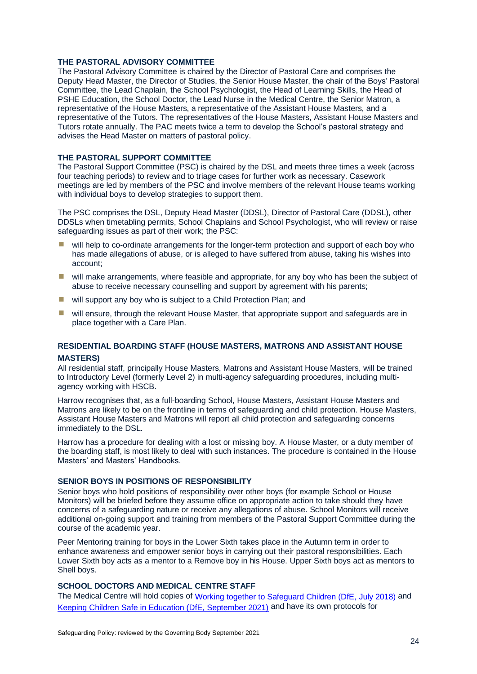### <span id="page-29-0"></span>**THE PASTORAL ADVISORY COMMITTEE**

The Pastoral Advisory Committee is chaired by the Director of Pastoral Care and comprises the Deputy Head Master, the Director of Studies, the Senior House Master, the chair of the Boys' Pastoral Committee, the Lead Chaplain, the School Psychologist, the Head of Learning Skills, the Head of PSHE Education, the School Doctor, the Lead Nurse in the Medical Centre, the Senior Matron, a representative of the House Masters, a representative of the Assistant House Masters, and a representative of the Tutors. The representatives of the House Masters, Assistant House Masters and Tutors rotate annually. The PAC meets twice a term to develop the School's pastoral strategy and advises the Head Master on matters of pastoral policy.

### <span id="page-29-1"></span>**THE PASTORAL SUPPORT COMMITTEE**

The Pastoral Support Committee (PSC) is chaired by the DSL and meets three times a week (across four teaching periods) to review and to triage cases for further work as necessary. Casework meetings are led by members of the PSC and involve members of the relevant House teams working with individual boys to develop strategies to support them.

The PSC comprises the DSL, Deputy Head Master (DDSL), Director of Pastoral Care (DDSL), other DDSLs when timetabling permits, School Chaplains and School Psychologist, who will review or raise safeguarding issues as part of their work; the PSC:

- will help to co-ordinate arrangements for the longer-term protection and support of each boy who has made allegations of abuse, or is alleged to have suffered from abuse, taking his wishes into account;
- will make arrangements, where feasible and appropriate, for any boy who has been the subject of abuse to receive necessary counselling and support by agreement with his parents;
- will support any boy who is subject to a Child Protection Plan: and
- will ensure, through the relevant House Master, that appropriate support and safeguards are in place together with a Care Plan.

### <span id="page-29-2"></span>**RESIDENTIAL BOARDING STAFF (HOUSE MASTERS, MATRONS AND ASSISTANT HOUSE MASTERS)**

All residential staff, principally House Masters, Matrons and Assistant House Masters, will be trained to Introductory Level (formerly Level 2) in multi-agency safeguarding procedures, including multiagency working with HSCB.

Harrow recognises that, as a full-boarding School, House Masters, Assistant House Masters and Matrons are likely to be on the frontline in terms of safeguarding and child protection. House Masters, Assistant House Masters and Matrons will report all child protection and safeguarding concerns immediately to the DSL.

Harrow has a procedure for dealing with a lost or missing boy. A House Master, or a duty member of the boarding staff, is most likely to deal with such instances. The procedure is contained in the House Masters' and Masters' Handbooks.

### <span id="page-29-3"></span>**SENIOR BOYS IN POSITIONS OF RESPONSIBILITY**

Senior boys who hold positions of responsibility over other boys (for example School or House Monitors) will be briefed before they assume office on appropriate action to take should they have concerns of a safeguarding nature or receive any allegations of abuse. School Monitors will receive additional on-going support and training from members of the Pastoral Support Committee during the course of the academic year.

Peer Mentoring training for boys in the Lower Sixth takes place in the Autumn term in order to enhance awareness and empower senior boys in carrying out their pastoral responsibilities. Each Lower Sixth boy acts as a mentor to a Remove boy in his House. Upper Sixth boys act as mentors to Shell boys.

### <span id="page-29-4"></span>**SCHOOL DOCTORS AND MEDICAL CENTRE STAFF**

The Medical Centre will hold copies of [Working together to Safeguard Children \(DfE,](https://assets.publishing.service.gov.uk/government/uploads/system/uploads/attachment_data/file/729914/Working_Together_to_Safeguard_Children-2018.pdf) July 2018) and [Keeping Children Safe in Education \(DfE, September 2021\)](https://assets.publishing.service.gov.uk/government/uploads/system/uploads/attachment_data/file/1007260/Keeping_children_safe_in_education_2021.pdf) and have its own protocols for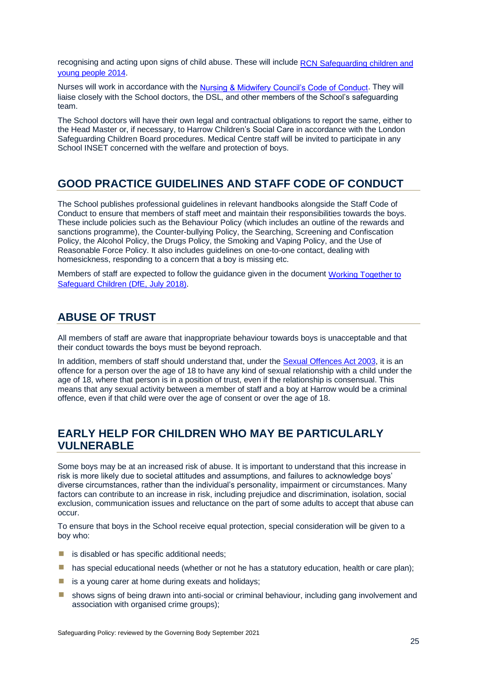recognising and acting upon signs of child abuse. These will include RCN Safeguarding children and [young people 2014.](https://www.rcpch.ac.uk/resources/safeguarding-children-young-people-roles-competences-healthcare-staff)

Nurses will work in accordance with the [Nursing & Midwifery Council's Code of Conduct.](https://www.google.co.uk/imgres?imgurl=https://www.nmc.org.uk/globalassets/images/publication-thumbnails/code-cover.jpg&imgrefurl=https://www.nmc.org.uk/standards/code/&h=786&w=556&tbnid=rXxMsTcBLn_5sM:&q=Nursing+and+Midwifery+Council’s+Code+of+Conduct.&tbnh=160&tbnw=113&usg=AFrqEzfYTCL732k9vkoj7NuKmq1phQNTSQ&vet=12ahUKEwie3PmN4ZHdAhVPmuAKHYbYDtcQ9QEwAHoECAQQBg..i&docid=9ZPiR83A8RgqDM&sa=X&ved=2ahUKEwie3PmN4ZHdAhVPmuAKHYbYDtcQ9QEwAHoECAQQBg) They will liaise closely with the School doctors, the DSL, and other members of the School's safeguarding team.

The School doctors will have their own legal and contractual obligations to report the same, either to the Head Master or, if necessary, to Harrow Children's Social Care in accordance with the London Safeguarding Children Board procedures. Medical Centre staff will be invited to participate in any School INSET concerned with the welfare and protection of boys.

### <span id="page-30-0"></span>**GOOD PRACTICE GUIDELINES AND STAFF CODE OF CONDUCT**

The School publishes professional guidelines in relevant handbooks alongside the Staff Code of Conduct to ensure that members of staff meet and maintain their responsibilities towards the boys. These include policies such as the Behaviour Policy (which includes an outline of the rewards and sanctions programme), the Counter-bullying Policy, the Searching, Screening and Confiscation Policy, the Alcohol Policy, the Drugs Policy, the Smoking and Vaping Policy, and the Use of Reasonable Force Policy. It also includes guidelines on one-to-one contact, dealing with homesickness, responding to a concern that a boy is missing etc.

Members of staff are expected to follow the guidance given in the document Working Together to [Safeguard Children \(DfE,](https://assets.publishing.service.gov.uk/government/uploads/system/uploads/attachment_data/file/729914/Working_Together_to_Safeguard_Children-2018.pdf) July 2018).

### <span id="page-30-1"></span>**ABUSE OF TRUST**

All members of staff are aware that inappropriate behaviour towards boys is unacceptable and that their conduct towards the boys must be beyond reproach.

In addition, members of staff should understand that, under the [Sexual Offences Act 2003,](https://www.legislation.gov.uk/ukpga/2003/42/contents) it is an offence for a person over the age of 18 to have any kind of sexual relationship with a child under the age of 18, where that person is in a position of trust, even if the relationship is consensual. This means that any sexual activity between a member of staff and a boy at Harrow would be a criminal offence, even if that child were over the age of consent or over the age of 18.

### <span id="page-30-2"></span>**EARLY HELP FOR CHILDREN WHO MAY BE PARTICULARLY VULNERABLE**

Some boys may be at an increased risk of abuse. It is important to understand that this increase in risk is more likely due to societal attitudes and assumptions, and failures to acknowledge boys' diverse circumstances, rather than the individual's personality, impairment or circumstances. Many factors can contribute to an increase in risk, including prejudice and discrimination, isolation, social exclusion, communication issues and reluctance on the part of some adults to accept that abuse can occur.

To ensure that boys in the School receive equal protection, special consideration will be given to a boy who:

- $\blacksquare$  is disabled or has specific additional needs;
- $\blacksquare$  has special educational needs (whether or not he has a statutory education, health or care plan);
- $\blacksquare$  is a young carer at home during exeats and holidays;
- **E** shows signs of being drawn into anti-social or criminal behaviour, including gang involvement and association with organised crime groups);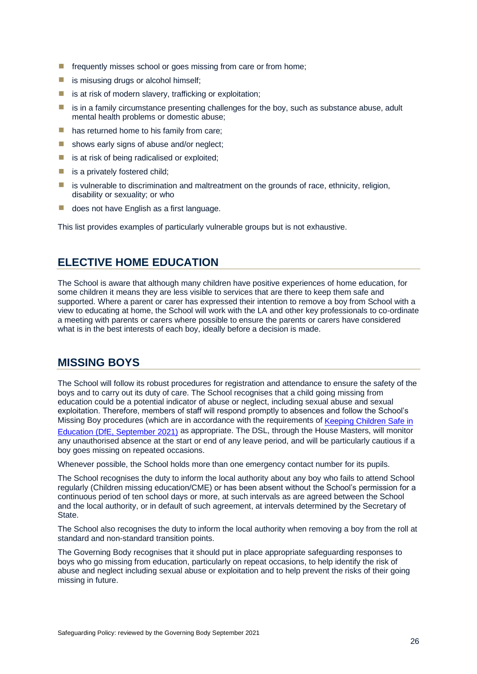- $\blacksquare$  frequently misses school or goes missing from care or from home;
- $\blacksquare$  is misusing drugs or alcohol himself;
- $\blacksquare$  is at risk of modern slavery, trafficking or exploitation;
- $\blacksquare$  is in a family circumstance presenting challenges for the boy, such as substance abuse, adult mental health problems or domestic abuse;
- $\blacksquare$  has returned home to his family from care;
- $\blacksquare$  shows early signs of abuse and/or neglect:
- $\blacksquare$  is at risk of being radicalised or exploited;
- $\blacksquare$  is a privately fostered child;
- $\blacksquare$  is vulnerable to discrimination and maltreatment on the grounds of race, ethnicity, religion, disability or sexuality; or who
- does not have English as a first language.

This list provides examples of particularly vulnerable groups but is not exhaustive.

### <span id="page-31-0"></span>**ELECTIVE HOME EDUCATION**

The School is aware that although many children have positive experiences of home education, for some children it means they are less visible to services that are there to keep them safe and supported. Where a parent or carer has expressed their intention to remove a boy from School with a view to educating at home, the School will work with the LA and other key professionals to co-ordinate a meeting with parents or carers where possible to ensure the parents or carers have considered what is in the best interests of each boy, ideally before a decision is made.

### <span id="page-31-1"></span>**MISSING BOYS**

The School will follow its robust procedures for registration and attendance to ensure the safety of the boys and to carry out its duty of care. The School recognises that a child going missing from education could be a potential indicator of abuse or neglect, including sexual abuse and sexual exploitation. Therefore, members of staff will respond promptly to absences and follow the School's Missing Boy procedures (which are in accordance with the requirements of Keeping Children Safe in [Education \(DfE, September 2021\)](https://assets.publishing.service.gov.uk/government/uploads/system/uploads/attachment_data/file/1007260/Keeping_children_safe_in_education_2021.pdf) as appropriate. The DSL, through the House Masters, will monitor any unauthorised absence at the start or end of any leave period, and will be particularly cautious if a boy goes missing on repeated occasions.

Whenever possible, the School holds more than one emergency contact number for its pupils.

The School recognises the duty to inform the local authority about any boy who fails to attend School regularly (Children missing education/CME) or has been absent without the School's permission for a continuous period of ten school days or more, at such intervals as are agreed between the School and the local authority, or in default of such agreement, at intervals determined by the Secretary of **State** 

The School also recognises the duty to inform the local authority when removing a boy from the roll at standard and non-standard transition points.

The Governing Body recognises that it should put in place appropriate safeguarding responses to boys who go missing from education, particularly on repeat occasions, to help identify the risk of abuse and neglect including sexual abuse or exploitation and to help prevent the risks of their going missing in future.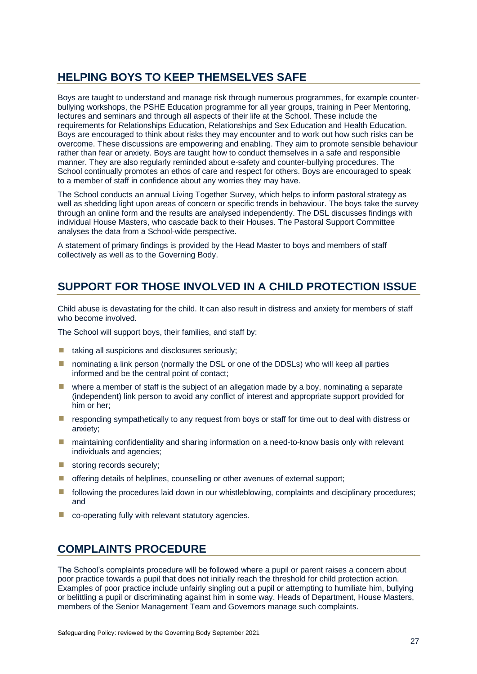### <span id="page-32-0"></span>**HELPING BOYS TO KEEP THEMSELVES SAFE**

Boys are taught to understand and manage risk through numerous programmes, for example counterbullying workshops, the PSHE Education programme for all year groups, training in Peer Mentoring, lectures and seminars and through all aspects of their life at the School. These include the requirements for Relationships Education, Relationships and Sex Education and Health Education. Boys are encouraged to think about risks they may encounter and to work out how such risks can be overcome. These discussions are empowering and enabling. They aim to promote sensible behaviour rather than fear or anxiety. Boys are taught how to conduct themselves in a safe and responsible manner. They are also regularly reminded about e-safety and counter-bullying procedures. The School continually promotes an ethos of care and respect for others. Boys are encouraged to speak to a member of staff in confidence about any worries they may have.

The School conducts an annual Living Together Survey, which helps to inform pastoral strategy as well as shedding light upon areas of concern or specific trends in behaviour. The boys take the survey through an online form and the results are analysed independently. The DSL discusses findings with individual House Masters, who cascade back to their Houses. The Pastoral Support Committee analyses the data from a School-wide perspective.

A statement of primary findings is provided by the Head Master to boys and members of staff collectively as well as to the Governing Body.

### <span id="page-32-1"></span>**SUPPORT FOR THOSE INVOLVED IN A CHILD PROTECTION ISSUE**

Child abuse is devastating for the child. It can also result in distress and anxiety for members of staff who become involved.

The School will support boys, their families, and staff by:

- taking all suspicions and disclosures seriously;
- **I** nominating a link person (normally the DSL or one of the DDSLs) who will keep all parties informed and be the central point of contact;
- where a member of staff is the subject of an allegation made by a boy, nominating a separate (independent) link person to avoid any conflict of interest and appropriate support provided for him or her;
- **E** responding sympathetically to any request from boys or staff for time out to deal with distress or anxiety;
- **I** maintaining confidentiality and sharing information on a need-to-know basis only with relevant individuals and agencies;
- **E** storing records securely;
- $\blacksquare$  offering details of helplines, counselling or other avenues of external support;
- **If** following the procedures laid down in our whistleblowing, complaints and disciplinary procedures; and
- co-operating fully with relevant statutory agencies.

### <span id="page-32-2"></span>**COMPLAINTS PROCEDURE**

The School's complaints procedure will be followed where a pupil or parent raises a concern about poor practice towards a pupil that does not initially reach the threshold for child protection action. Examples of poor practice include unfairly singling out a pupil or attempting to humiliate him, bullying or belittling a pupil or discriminating against him in some way. Heads of Department, House Masters, members of the Senior Management Team and Governors manage such complaints.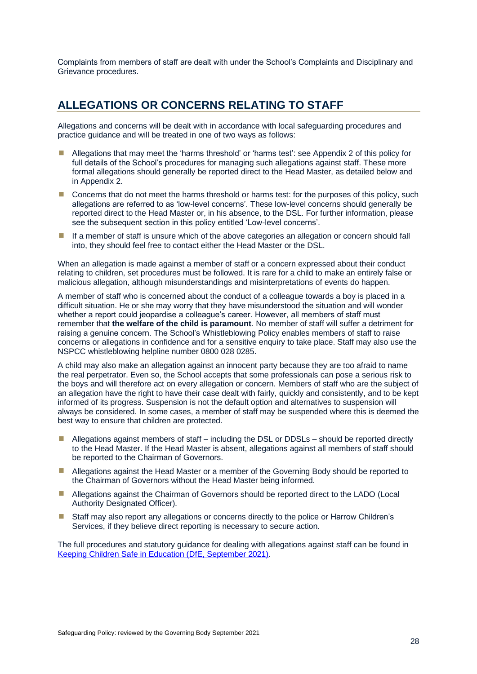Complaints from members of staff are dealt with under the School's Complaints and Disciplinary and Grievance procedures.

### <span id="page-33-0"></span>**ALLEGATIONS OR CONCERNS RELATING TO STAFF**

Allegations and concerns will be dealt with in accordance with local safeguarding procedures and practice guidance and will be treated in one of two ways as follows:

- Allegations that may meet the 'harms threshold' or 'harms test': see Appendix 2 of this policy for full details of the School's procedures for managing such allegations against staff. These more formal allegations should generally be reported direct to the Head Master, as detailed below and in Appendix 2.
- **E** Concerns that do not meet the harms threshold or harms test: for the purposes of this policy, such allegations are referred to as 'low-level concerns'. These low-level concerns should generally be reported direct to the Head Master or, in his absence, to the DSL. For further information, please see the subsequent section in this policy entitled 'Low-level concerns'.
- **If a member of staff is unsure which of the above categories an allegation or concern should fall** into, they should feel free to contact either the Head Master or the DSL.

When an allegation is made against a member of staff or a concern expressed about their conduct relating to children, set procedures must be followed. It is rare for a child to make an entirely false or malicious allegation, although misunderstandings and misinterpretations of events do happen.

A member of staff who is concerned about the conduct of a colleague towards a boy is placed in a difficult situation. He or she may worry that they have misunderstood the situation and will wonder whether a report could jeopardise a colleague's career. However, all members of staff must remember that **the welfare of the child is paramount**. No member of staff will suffer a detriment for raising a genuine concern. The School's Whistleblowing Policy enables members of staff to raise concerns or allegations in confidence and for a sensitive enquiry to take place. Staff may also use the NSPCC whistleblowing helpline number 0800 028 0285.

A child may also make an allegation against an innocent party because they are too afraid to name the real perpetrator. Even so, the School accepts that some professionals can pose a serious risk to the boys and will therefore act on every allegation or concern. Members of staff who are the subject of an allegation have the right to have their case dealt with fairly, quickly and consistently, and to be kept informed of its progress. Suspension is not the default option and alternatives to suspension will always be considered. In some cases, a member of staff may be suspended where this is deemed the best way to ensure that children are protected.

- Allegations against members of staff including the DSL or DDSLs should be reported directly to the Head Master. If the Head Master is absent, allegations against all members of staff should be reported to the Chairman of Governors.
- **E** Allegations against the Head Master or a member of the Governing Body should be reported to the Chairman of Governors without the Head Master being informed.
- **E** Allegations against the Chairman of Governors should be reported direct to the LADO (Local Authority Designated Officer).
- Staff may also report any allegations or concerns directly to the police or Harrow Children's Services, if they believe direct reporting is necessary to secure action.

The full procedures and statutory guidance for dealing with allegations against staff can be found in [Keeping Children Safe in Education \(DfE, September 2021\).](https://assets.publishing.service.gov.uk/government/uploads/system/uploads/attachment_data/file/1007260/Keeping_children_safe_in_education_2021.pdf)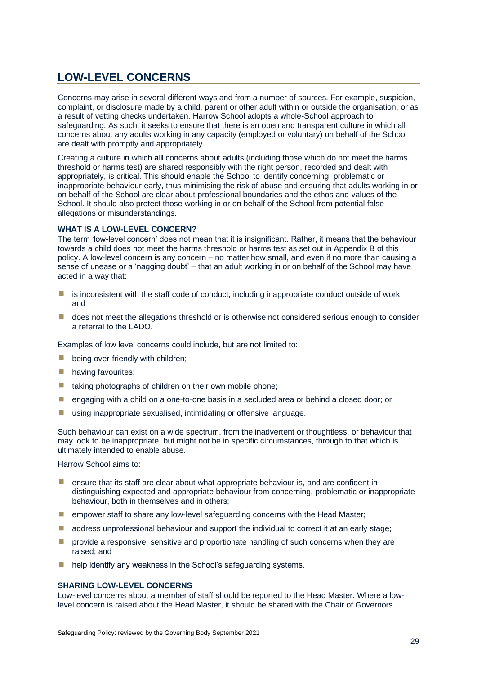### <span id="page-34-0"></span>**LOW-LEVEL CONCERNS**

Concerns may arise in several different ways and from a number of sources. For example, suspicion, complaint, or disclosure made by a child, parent or other adult within or outside the organisation, or as a result of vetting checks undertaken. Harrow School adopts a whole-School approach to safeguarding. As such, it seeks to ensure that there is an open and transparent culture in which all concerns about any adults working in any capacity (employed or voluntary) on behalf of the School are dealt with promptly and appropriately.

Creating a culture in which **all** concerns about adults (including those which do not meet the harms threshold or harms test) are shared responsibly with the right person, recorded and dealt with appropriately, is critical. This should enable the School to identify concerning, problematic or inappropriate behaviour early, thus minimising the risk of abuse and ensuring that adults working in or on behalf of the School are clear about professional boundaries and the ethos and values of the School. It should also protect those working in or on behalf of the School from potential false allegations or misunderstandings.

### <span id="page-34-1"></span>**WHAT IS A LOW-LEVEL CONCERN?**

The term 'low-level concern' does not mean that it is insignificant. Rather, it means that the behaviour towards a child does not meet the harms threshold or harms test as set out in Appendix B of this policy. A low-level concern is any concern – no matter how small, and even if no more than causing a sense of unease or a 'nagging doubt' – that an adult working in or on behalf of the School may have acted in a way that:

- $\blacksquare$  is inconsistent with the staff code of conduct, including inappropriate conduct outside of work; and
- **Lackter on the allegations threshold or is otherwise not considered serious enough to consider** a referral to the LADO.

Examples of low level concerns could include, but are not limited to:

- $\blacksquare$  being over-friendly with children;
- **having favourites;**
- $\blacksquare$  taking photographs of children on their own mobile phone;
- **E** engaging with a child on a one-to-one basis in a secluded area or behind a closed door; or
- using inappropriate sexualised, intimidating or offensive language.

Such behaviour can exist on a wide spectrum, from the inadvertent or thoughtless, or behaviour that may look to be inappropriate, but might not be in specific circumstances, through to that which is ultimately intended to enable abuse.

Harrow School aims to:

- $\blacksquare$  ensure that its staff are clear about what appropriate behaviour is, and are confident in distinguishing expected and appropriate behaviour from concerning, problematic or inappropriate behaviour, both in themselves and in others;
- $\blacksquare$  empower staff to share any low-level safeguarding concerns with the Head Master;
- $\blacksquare$  address unprofessional behaviour and support the individual to correct it at an early stage;
- provide a responsive, sensitive and proportionate handling of such concerns when they are raised; and
- **E** help identify any weakness in the School's safeguarding systems.

### <span id="page-34-2"></span>**SHARING LOW-LEVEL CONCERNS**

Low-level concerns about a member of staff should be reported to the Head Master. Where a lowlevel concern is raised about the Head Master, it should be shared with the Chair of Governors.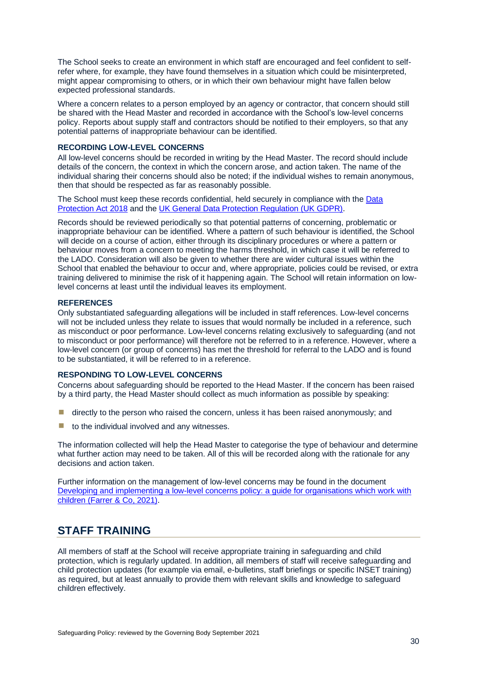The School seeks to create an environment in which staff are encouraged and feel confident to selfrefer where, for example, they have found themselves in a situation which could be misinterpreted, might appear compromising to others, or in which their own behaviour might have fallen below expected professional standards.

Where a concern relates to a person employed by an agency or contractor, that concern should still be shared with the Head Master and recorded in accordance with the School's low-level concerns policy. Reports about supply staff and contractors should be notified to their employers, so that any potential patterns of inappropriate behaviour can be identified.

### <span id="page-35-0"></span>**RECORDING LOW-LEVEL CONCERNS**

All low-level concerns should be recorded in writing by the Head Master. The record should include details of the concern, the context in which the concern arose, and action taken. The name of the individual sharing their concerns should also be noted; if the individual wishes to remain anonymous, then that should be respected as far as reasonably possible.

The School must keep these records confidential, held securely in compliance with th[e Data](https://www.legislation.gov.uk/ukpga/2018/12/contents/enacted)  [Protection Act 2018](https://www.legislation.gov.uk/ukpga/2018/12/contents/enacted) and the [UK General Data Protection Regulation \(UK GDPR\).](https://ico.org.uk/for-organisations/dp-at-the-end-of-the-transition-period/data-protection-and-the-eu-in-detail/the-uk-gdpr/)

Records should be reviewed periodically so that potential patterns of concerning, problematic or inappropriate behaviour can be identified. Where a pattern of such behaviour is identified, the School will decide on a course of action, either through its disciplinary procedures or where a pattern or behaviour moves from a concern to meeting the harms threshold, in which case it will be referred to the LADO. Consideration will also be given to whether there are wider cultural issues within the School that enabled the behaviour to occur and, where appropriate, policies could be revised, or extra training delivered to minimise the risk of it happening again. The School will retain information on lowlevel concerns at least until the individual leaves its employment.

### <span id="page-35-1"></span>**REFERENCES**

Only substantiated safeguarding allegations will be included in staff references. Low-level concerns will not be included unless they relate to issues that would normally be included in a reference, such as misconduct or poor performance. Low-level concerns relating exclusively to safeguarding (and not to misconduct or poor performance) will therefore not be referred to in a reference. However, where a low-level concern (or group of concerns) has met the threshold for referral to the LADO and is found to be substantiated, it will be referred to in a reference.

### <span id="page-35-2"></span>**RESPONDING TO LOW-LEVEL CONCERNS**

Concerns about safeguarding should be reported to the Head Master. If the concern has been raised by a third party, the Head Master should collect as much information as possible by speaking:

- $\blacksquare$  directly to the person who raised the concern, unless it has been raised anonymously; and
- $\blacksquare$  to the individual involved and any witnesses.

The information collected will help the Head Master to categorise the type of behaviour and determine what further action may need to be taken. All of this will be recorded along with the rationale for any decisions and action taken.

Further information on the management of low-level concerns may be found in the document [Developing and implementing a low-level concerns policy: a guide for organisations which work with](https://www.farrer.co.uk/globalassets/clients-and-sectors/safeguarding/low-level-concerns-guidance-2021.pdf)  [children \(Farrer & Co, 2021\).](https://www.farrer.co.uk/globalassets/clients-and-sectors/safeguarding/low-level-concerns-guidance-2021.pdf)

### <span id="page-35-3"></span>**STAFF TRAINING**

All members of staff at the School will receive appropriate training in safeguarding and child protection, which is regularly updated. In addition, all members of staff will receive safeguarding and child protection updates (for example via email, e-bulletins, staff briefings or specific INSET training) as required, but at least annually to provide them with relevant skills and knowledge to safeguard children effectively.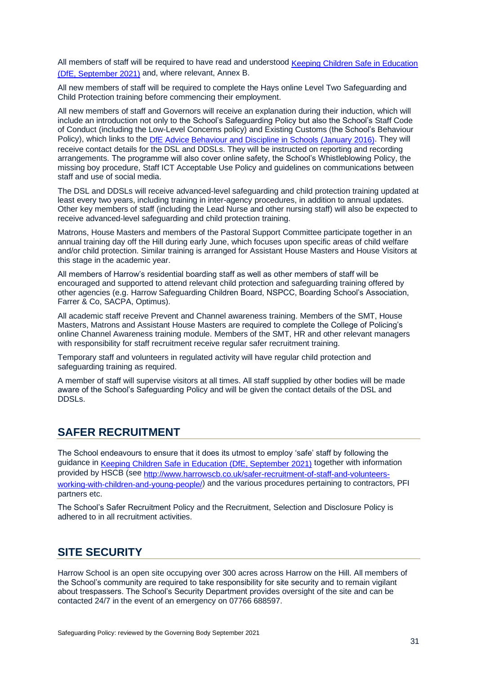All members of staff will be required to have read and understood [Keeping Children Safe in Education](https://assets.publishing.service.gov.uk/government/uploads/system/uploads/attachment_data/file/1007260/Keeping_children_safe_in_education_2021.pdf)  [\(DfE, September 2021\)](https://assets.publishing.service.gov.uk/government/uploads/system/uploads/attachment_data/file/1007260/Keeping_children_safe_in_education_2021.pdf) and, where relevant, Annex B.

All new members of staff will be required to complete the Hays online Level Two Safeguarding and Child Protection training before commencing their employment.

All new members of staff and Governors will receive an explanation during their induction, which will include an introduction not only to the School's Safeguarding Policy but also the School's Staff Code of Conduct (including the Low-Level Concerns policy) and Existing Customs (the School's Behaviour Policy), which links to the [DfE Advice Behaviour and Discipline in Schools \(January](https://assets.publishing.service.gov.uk/government/uploads/system/uploads/attachment_data/file/488034/Behaviour_and_Discipline_in_Schools_-_A_guide_for_headteachers_and_School_Staff.pdf) 2016). They will receive contact details for the DSL and DDSLs. They will be instructed on reporting and recording arrangements. The programme will also cover online safety, the School's Whistleblowing Policy, the missing boy procedure, Staff ICT Acceptable Use Policy and guidelines on communications between staff and use of social media.

The DSL and DDSLs will receive advanced-level safeguarding and child protection training updated at least every two years, including training in inter-agency procedures, in addition to annual updates. Other key members of staff (including the Lead Nurse and other nursing staff) will also be expected to receive advanced-level safeguarding and child protection training.

Matrons, House Masters and members of the Pastoral Support Committee participate together in an annual training day off the Hill during early June, which focuses upon specific areas of child welfare and/or child protection. Similar training is arranged for Assistant House Masters and House Visitors at this stage in the academic year.

All members of Harrow's residential boarding staff as well as other members of staff will be encouraged and supported to attend relevant child protection and safeguarding training offered by other agencies (e.g. Harrow Safeguarding Children Board, NSPCC, Boarding School's Association, Farrer & Co, SACPA, Optimus).

All academic staff receive Prevent and Channel awareness training. Members of the SMT, House Masters, Matrons and Assistant House Masters are required to complete the College of Policing's online Channel Awareness training module. Members of the SMT, HR and other relevant managers with responsibility for staff recruitment receive regular safer recruitment training.

Temporary staff and volunteers in regulated activity will have regular child protection and safeguarding training as required.

A member of staff will supervise visitors at all times. All staff supplied by other bodies will be made aware of the School's Safeguarding Policy and will be given the contact details of the DSL and DDSLs.

### <span id="page-36-0"></span>**SAFER RECRUITMENT**

The School endeavours to ensure that it does its utmost to employ 'safe' staff by following the guidance in [Keeping Children Safe in Education \(DfE, September 2021\)](https://assets.publishing.service.gov.uk/government/uploads/system/uploads/attachment_data/file/1007260/Keeping_children_safe_in_education_2021.pdf) together with information provided by HSCB (see [http://www.harrowscb.co.uk/safer-recruitment-of-staff-and-volunteers](http://www.harrowscb.co.uk/safer-recruitment-of-staff-and-volunteers-working-with-children-and-young-people/)[working-with-children-and-young-people/\)](http://www.harrowscb.co.uk/safer-recruitment-of-staff-and-volunteers-working-with-children-and-young-people/) and the various procedures pertaining to contractors, PFI partners etc.

The School's Safer Recruitment Policy and the Recruitment, Selection and Disclosure Policy is adhered to in all recruitment activities.

### <span id="page-36-1"></span>**SITE SECURITY**

Harrow School is an open site occupying over 300 acres across Harrow on the Hill. All members of the School's community are required to take responsibility for site security and to remain vigilant about trespassers. The School's Security Department provides oversight of the site and can be contacted 24/7 in the event of an emergency on 07766 688597.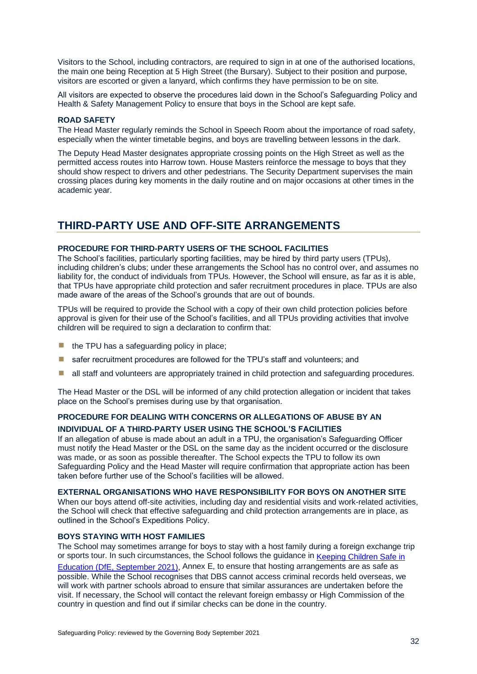Visitors to the School, including contractors, are required to sign in at one of the authorised locations, the main one being Reception at 5 High Street (the Bursary). Subject to their position and purpose, visitors are escorted or given a lanyard, which confirms they have permission to be on site.

All visitors are expected to observe the procedures laid down in the School's Safeguarding Policy and Health & Safety Management Policy to ensure that boys in the School are kept safe.

### <span id="page-37-0"></span>**ROAD SAFETY**

The Head Master regularly reminds the School in Speech Room about the importance of road safety, especially when the winter timetable begins, and boys are travelling between lessons in the dark.

The Deputy Head Master designates appropriate crossing points on the High Street as well as the permitted access routes into Harrow town. House Masters reinforce the message to boys that they should show respect to drivers and other pedestrians. The Security Department supervises the main crossing places during key moments in the daily routine and on major occasions at other times in the academic year.

### <span id="page-37-1"></span>**THIRD-PARTY USE AND OFF-SITE ARRANGEMENTS**

### <span id="page-37-2"></span>**PROCEDURE FOR THIRD-PARTY USERS OF THE SCHOOL FACILITIES**

The School's facilities, particularly sporting facilities, may be hired by third party users (TPUs), including children's clubs; under these arrangements the School has no control over, and assumes no liability for, the conduct of individuals from TPUs. However, the School will ensure, as far as it is able, that TPUs have appropriate child protection and safer recruitment procedures in place. TPUs are also made aware of the areas of the School's grounds that are out of bounds.

TPUs will be required to provide the School with a copy of their own child protection policies before approval is given for their use of the School's facilities, and all TPUs providing activities that involve children will be required to sign a declaration to confirm that:

- $\blacksquare$  the TPU has a safeguarding policy in place;
- **E** safer recruitment procedures are followed for the TPU's staff and volunteers; and
- all staff and volunteers are appropriately trained in child protection and safeguarding procedures.

The Head Master or the DSL will be informed of any child protection allegation or incident that takes place on the School's premises during use by that organisation.

### <span id="page-37-3"></span>**PROCEDURE FOR DEALING WITH CONCERNS OR ALLEGATIONS OF ABUSE BY AN INDIVIDUAL OF A THIRD-PARTY USER USING THE SCHOOL'S FACILITIES**

If an allegation of abuse is made about an adult in a TPU, the organisation's Safeguarding Officer must notify the Head Master or the DSL on the same day as the incident occurred or the disclosure was made, or as soon as possible thereafter. The School expects the TPU to follow its own Safeguarding Policy and the Head Master will require confirmation that appropriate action has been taken before further use of the School's facilities will be allowed.

#### <span id="page-37-4"></span>**EXTERNAL ORGANISATIONS WHO HAVE RESPONSIBILITY FOR BOYS ON ANOTHER SITE**

When our boys attend off-site activities, including day and residential visits and work-related activities, the School will check that effective safeguarding and child protection arrangements are in place, as outlined in the School's Expeditions Policy.

### <span id="page-37-5"></span>**BOYS STAYING WITH HOST FAMILIES**

The School may sometimes arrange for boys to stay with a host family during a foreign exchange trip or sports tour. In such circumstances, the School follows the guidance in Keeping Children Safe in [Education \(DfE, September 2021\),](https://assets.publishing.service.gov.uk/government/uploads/system/uploads/attachment_data/file/1007260/Keeping_children_safe_in_education_2021.pdf) Annex E, to ensure that hosting arrangements are as safe as possible. While the School recognises that DBS cannot access criminal records held overseas, we will work with partner schools abroad to ensure that similar assurances are undertaken before the visit. If necessary, the School will contact the relevant foreign embassy or High Commission of the country in question and find out if similar checks can be done in the country.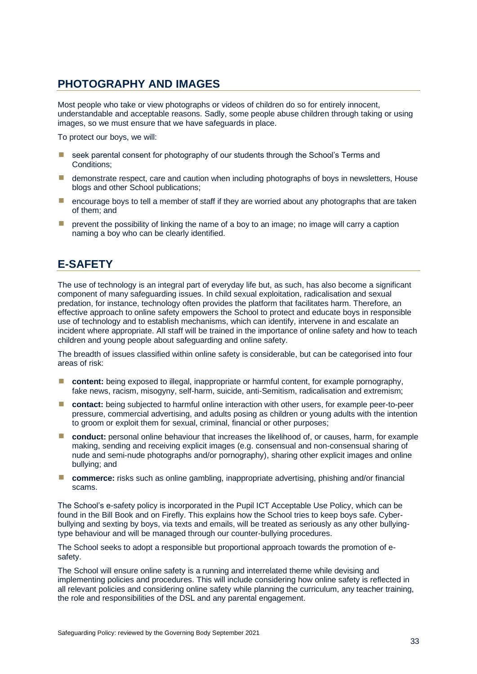### <span id="page-38-0"></span>**PHOTOGRAPHY AND IMAGES**

Most people who take or view photographs or videos of children do so for entirely innocent, understandable and acceptable reasons. Sadly, some people abuse children through taking or using images, so we must ensure that we have safeguards in place.

To protect our boys, we will:

- seek parental consent for photography of our students through the School's Terms and Conditions;
- demonstrate respect, care and caution when including photographs of boys in newsletters, House blogs and other School publications;
- $\blacksquare$  encourage boys to tell a member of staff if they are worried about any photographs that are taken of them; and
- $\blacksquare$  prevent the possibility of linking the name of a boy to an image; no image will carry a caption naming a boy who can be clearly identified.

### <span id="page-38-1"></span>**E-SAFETY**

The use of technology is an integral part of everyday life but, as such, has also become a significant component of many safeguarding issues. In child sexual exploitation, radicalisation and sexual predation, for instance, technology often provides the platform that facilitates harm. Therefore, an effective approach to online safety empowers the School to protect and educate boys in responsible use of technology and to establish mechanisms, which can identify, intervene in and escalate an incident where appropriate. All staff will be trained in the importance of online safety and how to teach children and young people about safeguarding and online safety.

The breadth of issues classified within online safety is considerable, but can be categorised into four areas of risk:

- **E** content: being exposed to illegal, inappropriate or harmful content, for example pornography, fake news, racism, misogyny, self-harm, suicide, anti-Semitism, radicalisation and extremism;
- **E** contact: being subjected to harmful online interaction with other users, for example peer-to-peer pressure, commercial advertising, and adults posing as children or young adults with the intention to groom or exploit them for sexual, criminal, financial or other purposes;
- **conduct:** personal online behaviour that increases the likelihood of, or causes, harm, for example making, sending and receiving explicit images (e.g. consensual and non-consensual sharing of nude and semi-nude photographs and/or pornography), sharing other explicit images and online bullying; and
- **commerce:** risks such as online gambling, inappropriate advertising, phishing and/or financial scams.

The School's e-safety policy is incorporated in the Pupil ICT Acceptable Use Policy, which can be found in the Bill Book and on Firefly. This explains how the School tries to keep boys safe. Cyberbullying and sexting by boys, via texts and emails, will be treated as seriously as any other bullyingtype behaviour and will be managed through our counter-bullying procedures.

The School seeks to adopt a responsible but proportional approach towards the promotion of esafety.

The School will ensure online safety is a running and interrelated theme while devising and implementing policies and procedures. This will include considering how online safety is reflected in all relevant policies and considering online safety while planning the curriculum, any teacher training, the role and responsibilities of the DSL and any parental engagement.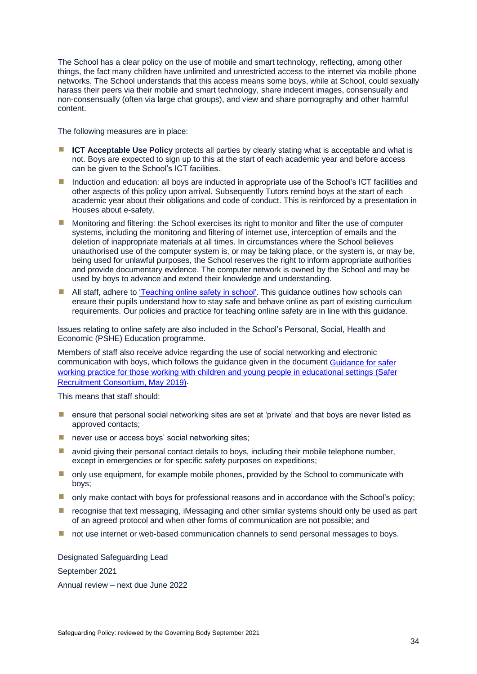The School has a clear policy on the use of mobile and smart technology, reflecting, among other things, the fact many children have unlimited and unrestricted access to the internet via mobile phone networks. The School understands that this access means some boys, while at School, could sexually harass their peers via their mobile and smart technology, share indecent images, consensually and non-consensually (often via large chat groups), and view and share pornography and other harmful content.

The following measures are in place:

- **EXTED ICT Acceptable Use Policy** protects all parties by clearly stating what is acceptable and what is not. Boys are expected to sign up to this at the start of each academic year and before access can be given to the School's ICT facilities.
- Induction and education: all boys are inducted in appropriate use of the School's ICT facilities and other aspects of this policy upon arrival. Subsequently Tutors remind boys at the start of each academic year about their obligations and code of conduct. This is reinforced by a presentation in Houses about e-safety.
- Monitoring and filtering: the School exercises its right to monitor and filter the use of computer systems, including the monitoring and filtering of internet use, interception of emails and the deletion of inappropriate materials at all times. In circumstances where the School believes unauthorised use of the computer system is, or may be taking place, or the system is, or may be, being used for unlawful purposes, the School reserves the right to inform appropriate authorities and provide documentary evidence. The computer network is owned by the School and may be used by boys to advance and extend their knowledge and understanding.
- **E** All staff, adhere to ['Teaching online safety in school'.](https://www.gov.uk/government/publications/teaching-online-safety-in-schools) This guidance outlines how schools can ensure their pupils understand how to stay safe and behave online as part of existing curriculum requirements. Our policies and practice for teaching online safety are in line with this guidance.

Issues relating to online safety are also included in the School's Personal, Social, Health and Economic (PSHE) Education programme.

Members of staff also receive advice regarding the use of social networking and electronic communication with boys, which follows the guidance given in the document [Guidance for safer](https://c-cluster-110.uploads.documents.cimpress.io/v1/uploads/13ecce28-e8f2-49e9-83c6-c29337cd8071~110/original?tenant=vbu-digital)  working practice for those working with children and young people in educational settings (Safer [Recruitment Consortium, May 2019\).](https://c-cluster-110.uploads.documents.cimpress.io/v1/uploads/13ecce28-e8f2-49e9-83c6-c29337cd8071~110/original?tenant=vbu-digital)

This means that staff should:

- **E** ensure that personal social networking sites are set at 'private' and that boys are never listed as approved contacts;
- **E** never use or access boys' social networking sites;
- **E** avoid giving their personal contact details to boys, including their mobile telephone number, except in emergencies or for specific safety purposes on expeditions;
- **I** only use equipment, for example mobile phones, provided by the School to communicate with boys;
- $\blacksquare$  only make contact with boys for professional reasons and in accordance with the School's policy;
- **E** recognise that text messaging, iMessaging and other similar systems should only be used as part of an agreed protocol and when other forms of communication are not possible; and
- not use internet or web-based communication channels to send personal messages to boys.

Designated Safeguarding Lead

September 2021

Annual review – next due June 2022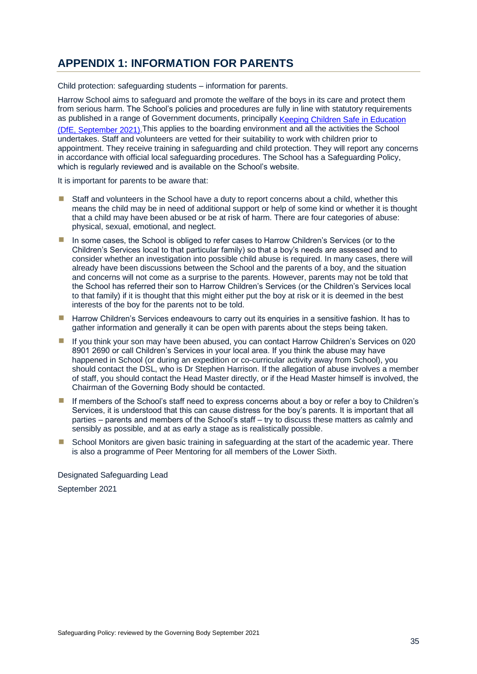### <span id="page-40-0"></span>**APPENDIX 1: INFORMATION FOR PARENTS**

Child protection: safeguarding students – information for parents.

Harrow School aims to safeguard and promote the welfare of the boys in its care and protect them from serious harm. The School's policies and procedures are fully in line with statutory requirements as published in a range of Government documents, principally Keeping Children Safe in Education [\(DfE, September 2021\).](https://assets.publishing.service.gov.uk/government/uploads/system/uploads/attachment_data/file/1007260/Keeping_children_safe_in_education_2021.pdf)This applies to the boarding environment and all the activities the School undertakes. Staff and volunteers are vetted for their suitability to work with children prior to appointment. They receive training in safeguarding and child protection. They will report any concerns in accordance with official local safeguarding procedures. The School has a Safeguarding Policy, which is regularly reviewed and is available on the School's website.

It is important for parents to be aware that:

- Staff and volunteers in the School have a duty to report concerns about a child, whether this means the child may be in need of additional support or help of some kind or whether it is thought that a child may have been abused or be at risk of harm. There are four categories of abuse: physical, sexual, emotional, and neglect.
- In some cases, the School is obliged to refer cases to Harrow Children's Services (or to the Children's Services local to that particular family) so that a boy's needs are assessed and to consider whether an investigation into possible child abuse is required. In many cases, there will already have been discussions between the School and the parents of a boy, and the situation and concerns will not come as a surprise to the parents. However, parents may not be told that the School has referred their son to Harrow Children's Services (or the Children's Services local to that family) if it is thought that this might either put the boy at risk or it is deemed in the best interests of the boy for the parents not to be told.
- **E** Harrow Children's Services endeavours to carry out its enquiries in a sensitive fashion. It has to gather information and generally it can be open with parents about the steps being taken.
- **I** If you think your son may have been abused, you can contact Harrow Children's Services on 020 8901 2690 or call Children's Services in your local area. If you think the abuse may have happened in School (or during an expedition or co-curricular activity away from School), you should contact the DSL, who is Dr Stephen Harrison. If the allegation of abuse involves a member of staff, you should contact the Head Master directly, or if the Head Master himself is involved, the Chairman of the Governing Body should be contacted.
- **If members of the School's staff need to express concerns about a boy or refer a boy to Children's** Services, it is understood that this can cause distress for the boy's parents. It is important that all parties – parents and members of the School's staff – try to discuss these matters as calmly and sensibly as possible, and at as early a stage as is realistically possible.
- School Monitors are given basic training in safeguarding at the start of the academic year. There is also a programme of Peer Mentoring for all members of the Lower Sixth.

Designated Safeguarding Lead September 2021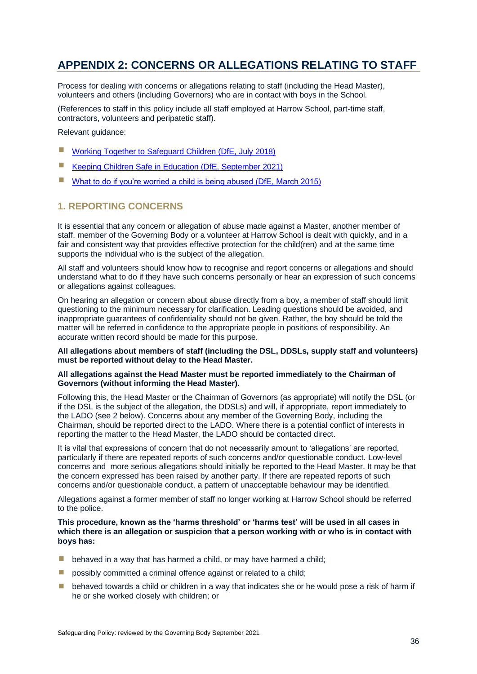### <span id="page-41-0"></span>**APPENDIX 2: CONCERNS OR ALLEGATIONS RELATING TO STAFF**

Process for dealing with concerns or allegations relating to staff (including the Head Master), volunteers and others (including Governors) who are in contact with boys in the School.

(References to staff in this policy include all staff employed at Harrow School, part-time staff, contractors, volunteers and peripatetic staff).

Relevant guidance:

- **E** [Working Together to Safeguard Children \(DfE, July](https://assets.publishing.service.gov.uk/government/uploads/system/uploads/attachment_data/file/729914/Working_Together_to_Safeguard_Children-2018.pdf) 2018)
- [Keeping Children Safe in Education \(DfE, September 2021\)](https://assets.publishing.service.gov.uk/government/uploads/system/uploads/attachment_data/file/1007260/Keeping_children_safe_in_education_2021.pdf)
- [What to do if you're worried a child is being abused \(DfE, March 2015\)](https://assets.publishing.service.gov.uk/government/uploads/system/uploads/attachment_data/file/419604/What_to_do_if_you_re_worried_a_child_is_being_abused.pdf)

### <span id="page-41-1"></span>**1. REPORTING CONCERNS**

It is essential that any concern or allegation of abuse made against a Master, another member of staff, member of the Governing Body or a volunteer at Harrow School is dealt with quickly, and in a fair and consistent way that provides effective protection for the child(ren) and at the same time supports the individual who is the subject of the allegation.

All staff and volunteers should know how to recognise and report concerns or allegations and should understand what to do if they have such concerns personally or hear an expression of such concerns or allegations against colleagues.

On hearing an allegation or concern about abuse directly from a boy, a member of staff should limit questioning to the minimum necessary for clarification. Leading questions should be avoided, and inappropriate guarantees of confidentiality should not be given. Rather, the boy should be told the matter will be referred in confidence to the appropriate people in positions of responsibility. An accurate written record should be made for this purpose.

**All allegations about members of staff (including the DSL, DDSLs, supply staff and volunteers) must be reported without delay to the Head Master.**

### **All allegations against the Head Master must be reported immediately to the Chairman of Governors (without informing the Head Master).**

Following this, the Head Master or the Chairman of Governors (as appropriate) will notify the DSL (or if the DSL is the subject of the allegation, the DDSLs) and will, if appropriate, report immediately to the LADO (see 2 below). Concerns about any member of the Governing Body, including the Chairman, should be reported direct to the LADO. Where there is a potential conflict of interests in reporting the matter to the Head Master, the LADO should be contacted direct.

It is vital that expressions of concern that do not necessarily amount to 'allegations' are reported, particularly if there are repeated reports of such concerns and/or questionable conduct. Low-level concerns and more serious allegations should initially be reported to the Head Master. It may be that the concern expressed has been raised by another party. If there are repeated reports of such concerns and/or questionable conduct, a pattern of unacceptable behaviour may be identified.

Allegations against a former member of staff no longer working at Harrow School should be referred to the police.

### **This procedure, known as the 'harms threshold' or 'harms test' will be used in all cases in which there is an allegation or suspicion that a person working with or who is in contact with boys has:**

- $\blacksquare$  behaved in a way that has harmed a child, or may have harmed a child;
- **E** possibly committed a criminal offence against or related to a child:
- $\blacksquare$  behaved towards a child or children in a way that indicates she or he would pose a risk of harm if he or she worked closely with children; or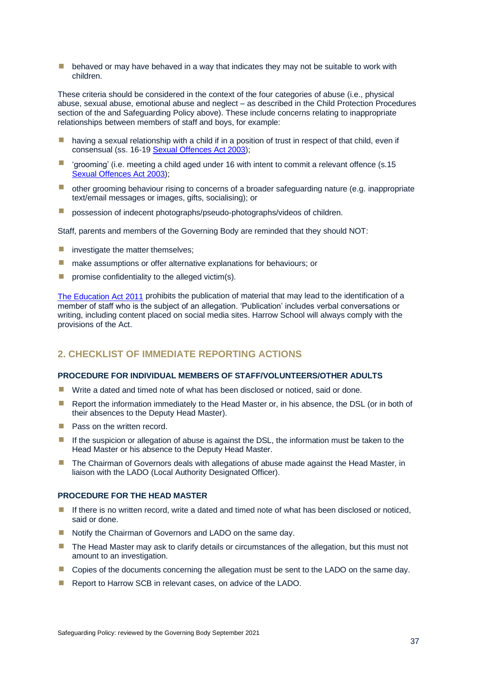$\blacksquare$  behaved or may have behaved in a way that indicates they may not be suitable to work with children.

These criteria should be considered in the context of the four categories of abuse (i.e., physical abuse, sexual abuse, emotional abuse and neglect – as described in the Child Protection Procedures section of the and Safeguarding Policy above). These include concerns relating to inappropriate relationships between members of staff and boys, for example:

- $\blacksquare$  having a sexual relationship with a child if in a position of trust in respect of that child, even if consensual (ss. 16-1[9 Sexual Offences Act 2003\)](https://www.legislation.gov.uk/ukpga/2003/42/contents);
- $\blacksquare$  'grooming' (i.e. meeting a child aged under 16 with intent to commit a relevant offence (s.15) [Sexual Offences Act 2003\)](https://www.legislation.gov.uk/ukpga/2003/42/contents);
- other grooming behaviour rising to concerns of a broader safeguarding nature (e.g. inappropriate text/email messages or images, gifts, socialising); or
- **E** possession of indecent photographs/pseudo-photographs/videos of children.

Staff, parents and members of the Governing Body are reminded that they should NOT:

- investigate the matter themselves;
- make assumptions or offer alternative explanations for behaviours; or
- $\blacksquare$  promise confidentiality to the alleged victim(s).

[The Education Act 2011](http://www.legislation.gov.uk/ukpga/2011/21/contents/enacted) prohibits the publication of material that may lead to the identification of a member of staff who is the subject of an allegation. 'Publication' includes verbal conversations or writing, including content placed on social media sites. Harrow School will always comply with the provisions of the Act.

### <span id="page-42-0"></span>**2. CHECKLIST OF IMMEDIATE REPORTING ACTIONS**

### <span id="page-42-1"></span>**PROCEDURE FOR INDIVIDUAL MEMBERS OF STAFF/VOLUNTEERS/OTHER ADULTS**

- Write a dated and timed note of what has been disclosed or noticed, said or done.
- Report the information immediately to the Head Master or, in his absence, the DSL (or in both of their absences to the Deputy Head Master).
- Pass on the written record.
- **If the suspicion or allegation of abuse is against the DSL, the information must be taken to the** Head Master or his absence to the Deputy Head Master.
- **The Chairman of Governors deals with allegations of abuse made against the Head Master, in** liaison with the LADO (Local Authority Designated Officer).

### <span id="page-42-2"></span>**PROCEDURE FOR THE HEAD MASTER**

- **If there is no written record, write a dated and timed note of what has been disclosed or noticed,** said or done.
- Notify the Chairman of Governors and LADO on the same day.
- The Head Master may ask to clarify details or circumstances of the allegation, but this must not amount to an investigation.
- **E** Copies of the documents concerning the allegation must be sent to the LADO on the same day.
- Report to Harrow SCB in relevant cases, on advice of the LADO.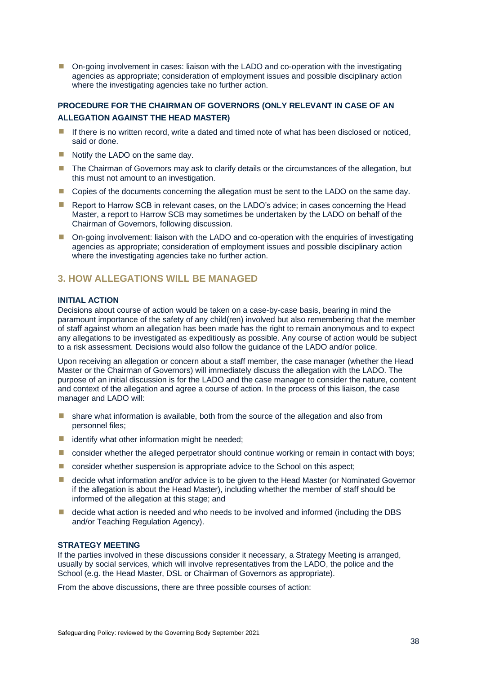■ On-going involvement in cases: liaison with the LADO and co-operation with the investigating agencies as appropriate; consideration of employment issues and possible disciplinary action where the investigating agencies take no further action.

### <span id="page-43-0"></span>**PROCEDURE FOR THE CHAIRMAN OF GOVERNORS (ONLY RELEVANT IN CASE OF AN ALLEGATION AGAINST THE HEAD MASTER)**

- **If there is no written record, write a dated and timed note of what has been disclosed or noticed,** said or done.
- Notify the LADO on the same day.
- **The Chairman of Governors may ask to clarify details or the circumstances of the allegation, but** this must not amount to an investigation.
- **E** Copies of the documents concerning the allegation must be sent to the LADO on the same day.
- Report to Harrow SCB in relevant cases, on the LADO's advice; in cases concerning the Head Master, a report to Harrow SCB may sometimes be undertaken by the LADO on behalf of the Chairman of Governors, following discussion.
- **•** On-going involvement: liaison with the LADO and co-operation with the enquiries of investigating agencies as appropriate; consideration of employment issues and possible disciplinary action where the investigating agencies take no further action.

### <span id="page-43-1"></span>**3. HOW ALLEGATIONS WILL BE MANAGED**

### <span id="page-43-2"></span>**INITIAL ACTION**

Decisions about course of action would be taken on a case-by-case basis, bearing in mind the paramount importance of the safety of any child(ren) involved but also remembering that the member of staff against whom an allegation has been made has the right to remain anonymous and to expect any allegations to be investigated as expeditiously as possible. Any course of action would be subject to a risk assessment. Decisions would also follow the guidance of the LADO and/or police.

Upon receiving an allegation or concern about a staff member, the case manager (whether the Head Master or the Chairman of Governors) will immediately discuss the allegation with the LADO. The purpose of an initial discussion is for the LADO and the case manager to consider the nature, content and context of the allegation and agree a course of action. In the process of this liaison, the case manager and LADO will:

- $\blacksquare$  share what information is available, both from the source of the allegation and also from personnel files;
- $\blacksquare$  identify what other information might be needed;
- **E** consider whether the alleged perpetrator should continue working or remain in contact with boys;
- consider whether suspension is appropriate advice to the School on this aspect;
- decide what information and/or advice is to be given to the Head Master (or Nominated Governor if the allegation is about the Head Master), including whether the member of staff should be informed of the allegation at this stage; and
- decide what action is needed and who needs to be involved and informed (including the DBS and/or Teaching Regulation Agency).

#### <span id="page-43-3"></span>**STRATEGY MEETING**

If the parties involved in these discussions consider it necessary, a Strategy Meeting is arranged, usually by social services, which will involve representatives from the LADO, the police and the School (e.g. the Head Master, DSL or Chairman of Governors as appropriate).

From the above discussions, there are three possible courses of action: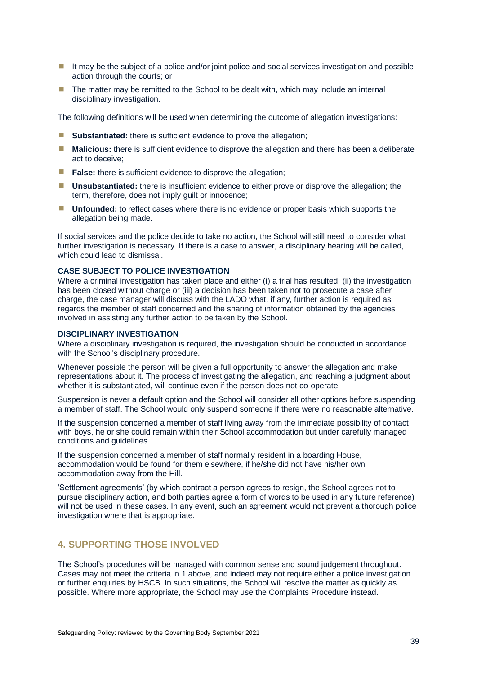- It may be the subject of a police and/or joint police and social services investigation and possible action through the courts; or
- $\blacksquare$  The matter may be remitted to the School to be dealt with, which may include an internal disciplinary investigation.

The following definitions will be used when determining the outcome of allegation investigations:

- **Substantiated:** there is sufficient evidence to prove the allegation;
- **Malicious:** there is sufficient evidence to disprove the allegation and there has been a deliberate act to deceive;
- **False:** there is sufficient evidence to disprove the allegation;
- **<u><b>■** Unsubstantiated: there is insufficient evidence to either prove or disprove the allegation; the United Standard: the United Standard: the United Standard: the United Standard: the United Standard: the United Standar</u> term, therefore, does not imply guilt or innocence;
- **If Unfounded:** to reflect cases where there is no evidence or proper basis which supports the allegation being made.

If social services and the police decide to take no action, the School will still need to consider what further investigation is necessary. If there is a case to answer, a disciplinary hearing will be called, which could lead to dismissal.

### <span id="page-44-0"></span>**CASE SUBJECT TO POLICE INVESTIGATION**

Where a criminal investigation has taken place and either (i) a trial has resulted, (ii) the investigation has been closed without charge or (iii) a decision has been taken not to prosecute a case after charge, the case manager will discuss with the LADO what, if any, further action is required as regards the member of staff concerned and the sharing of information obtained by the agencies involved in assisting any further action to be taken by the School.

### <span id="page-44-1"></span>**DISCIPLINARY INVESTIGATION**

Where a disciplinary investigation is required, the investigation should be conducted in accordance with the School's disciplinary procedure.

Whenever possible the person will be given a full opportunity to answer the allegation and make representations about it. The process of investigating the allegation, and reaching a judgment about whether it is substantiated, will continue even if the person does not co-operate.

Suspension is never a default option and the School will consider all other options before suspending a member of staff. The School would only suspend someone if there were no reasonable alternative.

If the suspension concerned a member of staff living away from the immediate possibility of contact with boys, he or she could remain within their School accommodation but under carefully managed conditions and guidelines.

If the suspension concerned a member of staff normally resident in a boarding House, accommodation would be found for them elsewhere, if he/she did not have his/her own accommodation away from the Hill.

'Settlement agreements' (by which contract a person agrees to resign, the School agrees not to pursue disciplinary action, and both parties agree a form of words to be used in any future reference) will not be used in these cases. In any event, such an agreement would not prevent a thorough police investigation where that is appropriate.

### <span id="page-44-2"></span>**4. SUPPORTING THOSE INVOLVED**

The School's procedures will be managed with common sense and sound judgement throughout. Cases may not meet the criteria in 1 above, and indeed may not require either a police investigation or further enquiries by HSCB. In such situations, the School will resolve the matter as quickly as possible. Where more appropriate, the School may use the Complaints Procedure instead.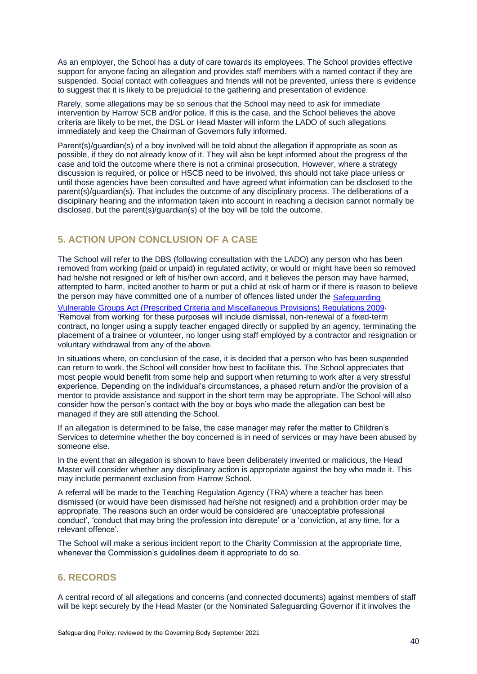As an employer, the School has a duty of care towards its employees. The School provides effective support for anyone facing an allegation and provides staff members with a named contact if they are suspended. Social contact with colleagues and friends will not be prevented, unless there is evidence to suggest that it is likely to be prejudicial to the gathering and presentation of evidence.

Rarely, some allegations may be so serious that the School may need to ask for immediate intervention by Harrow SCB and/or police. If this is the case, and the School believes the above criteria are likely to be met, the DSL or Head Master will inform the LADO of such allegations immediately and keep the Chairman of Governors fully informed.

Parent(s)/guardian(s) of a boy involved will be told about the allegation if appropriate as soon as possible, if they do not already know of it. They will also be kept informed about the progress of the case and told the outcome where there is not a criminal prosecution. However, where a strategy discussion is required, or police or HSCB need to be involved, this should not take place unless or until those agencies have been consulted and have agreed what information can be disclosed to the parent(s)/guardian(s). That includes the outcome of any disciplinary process. The deliberations of a disciplinary hearing and the information taken into account in reaching a decision cannot normally be disclosed, but the parent(s)/guardian(s) of the boy will be told the outcome.

### <span id="page-45-0"></span>**5. ACTION UPON CONCLUSION OF A CASE**

The School will refer to the DBS (following consultation with the LADO) any person who has been removed from working (paid or unpaid) in regulated activity, or would or might have been so removed had he/she not resigned or left of his/her own accord, and it believes the person may have harmed, attempted to harm, incited another to harm or put a child at risk of harm or if there is reason to believe the person may have committed one of a number of offences listed under the Safeguarding [Vulnerable Groups Act \(Prescribed Criteria and Miscellaneous Provisions\) Regulations 2009.](http://www.legislation.gov.uk/uksi/2009/37/made)

'Removal from working' for these purposes will include dismissal, non-renewal of a fixed-term contract, no longer using a supply teacher engaged directly or supplied by an agency, terminating the placement of a trainee or volunteer, no longer using staff employed by a contractor and resignation or voluntary withdrawal from any of the above.

In situations where, on conclusion of the case, it is decided that a person who has been suspended can return to work, the School will consider how best to facilitate this. The School appreciates that most people would benefit from some help and support when returning to work after a very stressful experience. Depending on the individual's circumstances, a phased return and/or the provision of a mentor to provide assistance and support in the short term may be appropriate. The School will also consider how the person's contact with the boy or boys who made the allegation can best be managed if they are still attending the School.

If an allegation is determined to be false, the case manager may refer the matter to Children's Services to determine whether the boy concerned is in need of services or may have been abused by someone else.

In the event that an allegation is shown to have been deliberately invented or malicious, the Head Master will consider whether any disciplinary action is appropriate against the boy who made it. This may include permanent exclusion from Harrow School.

A referral will be made to the Teaching Regulation Agency (TRA) where a teacher has been dismissed (or would have been dismissed had he/she not resigned) and a prohibition order may be appropriate. The reasons such an order would be considered are 'unacceptable professional conduct', 'conduct that may bring the profession into disrepute' or a 'conviction, at any time, for a relevant offence'.

The School will make a serious incident report to the Charity Commission at the appropriate time, whenever the Commission's guidelines deem it appropriate to do so.

### <span id="page-45-1"></span>**6. RECORDS**

A central record of all allegations and concerns (and connected documents) against members of staff will be kept securely by the Head Master (or the Nominated Safeguarding Governor if it involves the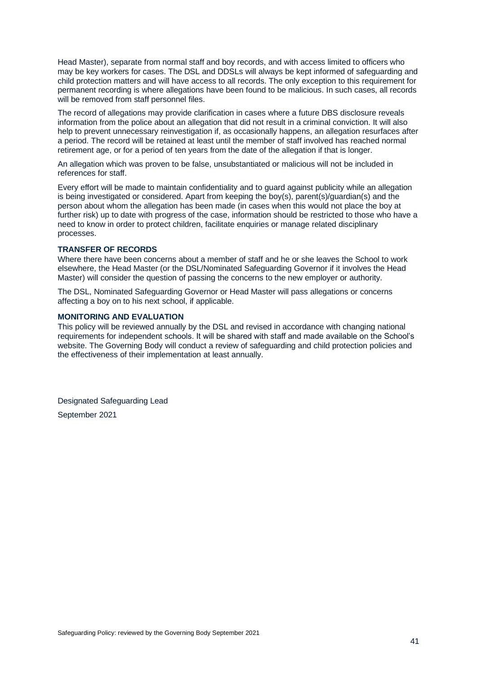Head Master), separate from normal staff and boy records, and with access limited to officers who may be key workers for cases. The DSL and DDSLs will always be kept informed of safeguarding and child protection matters and will have access to all records. The only exception to this requirement for permanent recording is where allegations have been found to be malicious. In such cases, all records will be removed from staff personnel files.

The record of allegations may provide clarification in cases where a future DBS disclosure reveals information from the police about an allegation that did not result in a criminal conviction. It will also help to prevent unnecessary reinvestigation if, as occasionally happens, an allegation resurfaces after a period. The record will be retained at least until the member of staff involved has reached normal retirement age, or for a period of ten years from the date of the allegation if that is longer.

An allegation which was proven to be false, unsubstantiated or malicious will not be included in references for staff.

Every effort will be made to maintain confidentiality and to guard against publicity while an allegation is being investigated or considered. Apart from keeping the boy(s), parent(s)/guardian(s) and the person about whom the allegation has been made (in cases when this would not place the boy at further risk) up to date with progress of the case, information should be restricted to those who have a need to know in order to protect children, facilitate enquiries or manage related disciplinary processes.

### <span id="page-46-0"></span>**TRANSFER OF RECORDS**

Where there have been concerns about a member of staff and he or she leaves the School to work elsewhere, the Head Master (or the DSL/Nominated Safeguarding Governor if it involves the Head Master) will consider the question of passing the concerns to the new employer or authority.

The DSL, Nominated Safeguarding Governor or Head Master will pass allegations or concerns affecting a boy on to his next school, if applicable.

#### <span id="page-46-1"></span>**MONITORING AND EVALUATION**

This policy will be reviewed annually by the DSL and revised in accordance with changing national requirements for independent schools. It will be shared with staff and made available on the School's website. The Governing Body will conduct a review of safeguarding and child protection policies and the effectiveness of their implementation at least annually.

Designated Safeguarding Lead September 2021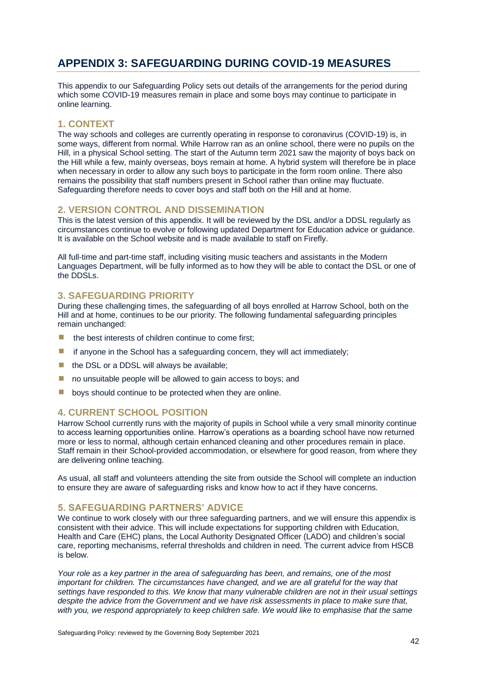### <span id="page-47-0"></span>**APPENDIX 3: SAFEGUARDING DURING COVID-19 MEASURES**

This appendix to our Safeguarding Policy sets out details of the arrangements for the period during which some COVID-19 measures remain in place and some boys may continue to participate in online learning.

### <span id="page-47-1"></span>**1. CONTEXT**

The way schools and colleges are currently operating in response to coronavirus (COVID-19) is, in some ways, different from normal. While Harrow ran as an online school, there were no pupils on the Hill, in a physical School setting. The start of the Autumn term 2021 saw the majority of boys back on the Hill while a few, mainly overseas, boys remain at home. A hybrid system will therefore be in place when necessary in order to allow any such boys to participate in the form room online. There also remains the possibility that staff numbers present in School rather than online may fluctuate. Safeguarding therefore needs to cover boys and staff both on the Hill and at home.

### <span id="page-47-2"></span>**2. VERSION CONTROL AND DISSEMINATION**

This is the latest version of this appendix. It will be reviewed by the DSL and/or a DDSL regularly as circumstances continue to evolve or following updated Department for Education advice or guidance. It is available on the School website and is made available to staff on Firefly.

All full-time and part-time staff, including visiting music teachers and assistants in the Modern Languages Department, will be fully informed as to how they will be able to contact the DSL or one of the DDSLs.

### <span id="page-47-3"></span>**3. SAFEGUARDING PRIORITY**

During these challenging times, the safeguarding of all boys enrolled at Harrow School, both on the Hill and at home, continues to be our priority. The following fundamental safeguarding principles remain unchanged:

- the best interests of children continue to come first;
- $\blacksquare$  if anyone in the School has a safeguarding concern, they will act immediately;
- the DSL or a DDSL will always be available;
- $\blacksquare$  no unsuitable people will be allowed to gain access to boys; and
- $\blacksquare$  boys should continue to be protected when they are online.

### <span id="page-47-4"></span>**4. CURRENT SCHOOL POSITION**

Harrow School currently runs with the majority of pupils in School while a very small minority continue to access learning opportunities online. Harrow's operations as a boarding school have now returned more or less to normal, although certain enhanced cleaning and other procedures remain in place. Staff remain in their School-provided accommodation, or elsewhere for good reason, from where they are delivering online teaching.

As usual, all staff and volunteers attending the site from outside the School will complete an induction to ensure they are aware of safeguarding risks and know how to act if they have concerns.

### <span id="page-47-5"></span>**5. SAFEGUARDING PARTNERS' ADVICE**

We continue to work closely with our three safeguarding partners, and we will ensure this appendix is consistent with their advice. This will include expectations for supporting children with Education, Health and Care (EHC) plans, the Local Authority Designated Officer (LADO) and children's social care, reporting mechanisms, referral thresholds and children in need. The current advice from HSCB is below.

*Your role as a key partner in the area of safeguarding has been, and remains, one of the most important for children. The circumstances have changed, and we are all grateful for the way that settings have responded to this. We know that many vulnerable children are not in their usual settings despite the advice from the Government and we have risk assessments in place to make sure that, with you, we respond appropriately to keep children safe. We would like to emphasise that the same*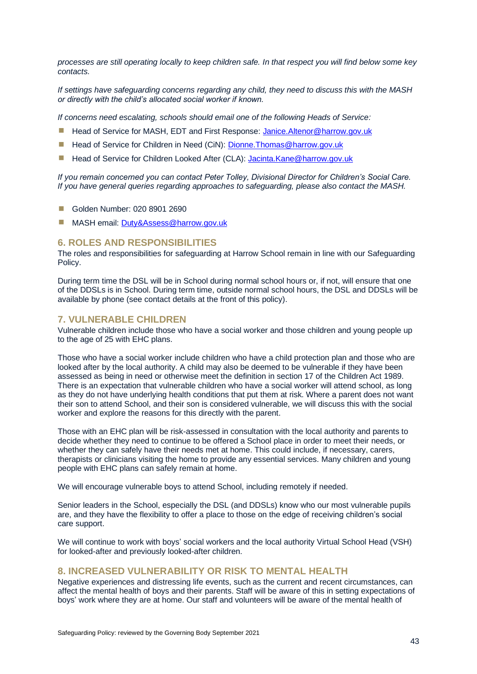*processes are still operating locally to keep children safe. In that respect you will find below some key contacts.* 

*If settings have safeguarding concerns regarding any child, they need to discuss this with the MASH or directly with the child's allocated social worker if known.*

*If concerns need escalating, schools should email one of the following Heads of Service:*

- Head of Service for MASH, EDT and First Response: [Janice.Altenor@harrow.gov.uk](mailto:Janice.Altenor@harrow.gov.uk)
- Head of Service for Children in Need (CiN): Dionne. Thomas@harrow.gov.uk
- Head of Service for Children Looked After (CLA): [Jacinta.Kane@harrow.gov.uk](mailto:Jacinta.Kane@harrow.gov.uk)

*If you remain concerned you can contact Peter Tolley, Divisional Director for Children's Social Care. If you have general queries regarding approaches to safeguarding, please also contact the MASH.* 

- Golden Number: 020 8901 2690
- MASH email: [Duty&Assess@harrow.gov.uk](mailto:Duty&Assess@harrow.gov.uk)

### <span id="page-48-0"></span>**6. ROLES AND RESPONSIBILITIES**

The roles and responsibilities for safeguarding at Harrow School remain in line with our Safeguarding Policy.

During term time the DSL will be in School during normal school hours or, if not, will ensure that one of the DDSLs is in School. During term time, outside normal school hours, the DSL and DDSLs will be available by phone (see contact details at the front of this policy).

### <span id="page-48-1"></span>**7. VULNERABLE CHILDREN**

Vulnerable children include those who have a social worker and those children and young people up to the age of 25 with EHC plans.

Those who have a social worker include children who have a child protection plan and those who are looked after by the local authority. A child may also be deemed to be vulnerable if they have been assessed as being in need or otherwise meet the definition in section 17 of the Children Act 1989. There is an expectation that vulnerable children who have a social worker will attend school, as long as they do not have underlying health conditions that put them at risk. Where a parent does not want their son to attend School, and their son is considered vulnerable, we will discuss this with the social worker and explore the reasons for this directly with the parent.

Those with an EHC plan will be risk-assessed in consultation with the local authority and parents to decide whether they need to continue to be offered a School place in order to meet their needs, or whether they can safely have their needs met at home. This could include, if necessary, carers, therapists or clinicians visiting the home to provide any essential services. Many children and young people with EHC plans can safely remain at home.

We will encourage vulnerable boys to attend School, including remotely if needed.

Senior leaders in the School, especially the DSL (and DDSLs) know who our most vulnerable pupils are, and they have the flexibility to offer a place to those on the edge of receiving children's social care support.

We will continue to work with boys' social workers and the local authority Virtual School Head (VSH) for looked-after and previously looked-after children.

### <span id="page-48-2"></span>**8. INCREASED VULNERABILITY OR RISK TO MENTAL HEALTH**

Negative experiences and distressing life events, such as the current and recent circumstances, can affect the mental health of boys and their parents. Staff will be aware of this in setting expectations of boys' work where they are at home. Our staff and volunteers will be aware of the mental health of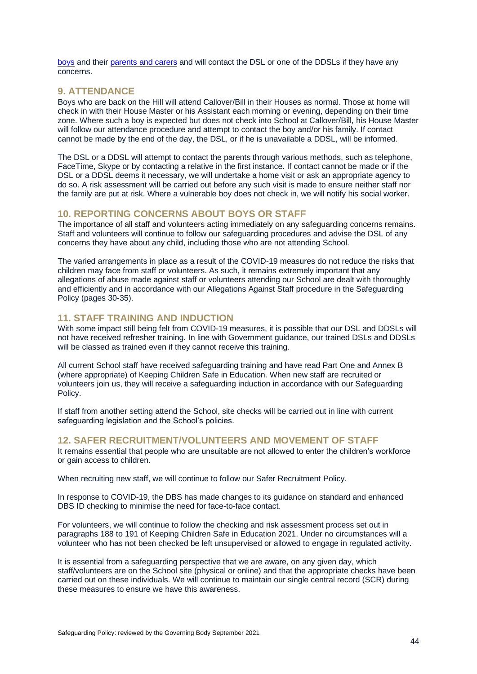[boys](https://safeguarding.network/safeguarding-resources/specific-risks-children-additional-needs/mental-health/) and their [parents and carers](https://safeguarding.network/safeguarding-resources/parental-issues/parental-mental-ill-health/) and will contact the DSL or one of the DDSLs if they have any concerns.

### <span id="page-49-0"></span>**9. ATTENDANCE**

Boys who are back on the Hill will attend Callover/Bill in their Houses as normal. Those at home will check in with their House Master or his Assistant each morning or evening, depending on their time zone. Where such a boy is expected but does not check into School at Callover/Bill, his House Master will follow our attendance procedure and attempt to contact the boy and/or his family. If contact cannot be made by the end of the day, the DSL, or if he is unavailable a DDSL, will be informed.

The DSL or a DDSL will attempt to contact the parents through various methods, such as telephone, FaceTime, Skype or by contacting a relative in the first instance. If contact cannot be made or if the DSL or a DDSL deems it necessary, we will undertake a home visit or ask an appropriate agency to do so. A risk assessment will be carried out before any such visit is made to ensure neither staff nor the family are put at risk. Where a vulnerable boy does not check in, we will notify his social worker.

### <span id="page-49-1"></span>**10. REPORTING CONCERNS ABOUT BOYS OR STAFF**

The importance of all staff and volunteers acting immediately on any safeguarding concerns remains. Staff and volunteers will continue to follow our safeguarding procedures and advise the DSL of any concerns they have about any child, including those who are not attending School.

The varied arrangements in place as a result of the COVID-19 measures do not reduce the risks that children may face from staff or volunteers. As such, it remains extremely important that any allegations of abuse made against staff or volunteers attending our School are dealt with thoroughly and efficiently and in accordance with our Allegations Against Staff procedure in the Safeguarding Policy (pages 30-35).

### <span id="page-49-2"></span>**11. STAFF TRAINING AND INDUCTION**

With some impact still being felt from COVID-19 measures, it is possible that our DSL and DDSLs will not have received refresher training. In line with Government guidance, our trained DSLs and DDSLs will be classed as trained even if they cannot receive this training.

All current School staff have received safeguarding training and have read Part One and Annex B (where appropriate) of Keeping Children Safe in Education. When new staff are recruited or volunteers join us, they will receive a safeguarding induction in accordance with our Safeguarding Policy.

If staff from another setting attend the School, site checks will be carried out in line with current safeguarding legislation and the School's policies.

### <span id="page-49-3"></span>**12. SAFER RECRUITMENT/VOLUNTEERS AND MOVEMENT OF STAFF**

It remains essential that people who are unsuitable are not allowed to enter the children's workforce or gain access to children.

When recruiting new staff, we will continue to follow our Safer Recruitment Policy.

In response to COVID-19, the DBS has made changes to its guidance on standard and enhanced DBS ID checking to minimise the need for face-to-face contact.

For volunteers, we will continue to follow the checking and risk assessment process set out in paragraphs 188 to 191 of Keeping Children Safe in Education 2021. Under no circumstances will a volunteer who has not been checked be left unsupervised or allowed to engage in regulated activity.

It is essential from a safeguarding perspective that we are aware, on any given day, which staff/volunteers are on the School site (physical or online) and that the appropriate checks have been carried out on these individuals. We will continue to maintain our single central record (SCR) during these measures to ensure we have this awareness.